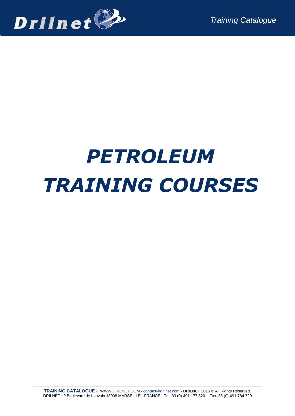

# *PETROLEUM TRAINING COURSES*

**TRAINING CATALOGUE** - [WWW.DRILNET.COM](http://www.drilnet.com/) - [contact@drilnet.com](mailto:contact@drilnet.com) - DRILNET 2015 © All Rights Reserved. DRILNET : 9 Boulevard de Louvain 13008 MARSEILLE - FRANCE - Tel. 33 (0) 491 177 820 – Fax. 33 (0) 491 784 729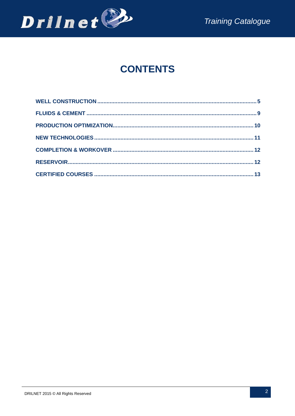

# **CONTENTS**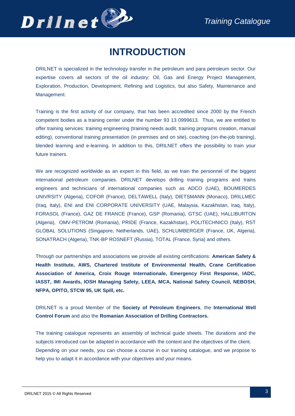

# **INTRODUCTION**

DRILNET is specialized in the technology transfer in the petroleum and para petroleum sector. Our expertise covers all sectors of the oil industry: Oil, Gas and Energy Project Management, Exploration, Production, Development, Refining and Logistics, but also Safety, Maintenance and Management.

Training is the first activity of our company, that has been accredited since 2000 by the French competent bodies as a training center under the number 93 13 0999613. Thus, we are entitled to offer training services: training engineering (training needs audit, training programs creation, manual editing), conventional training presentation (in premises and on site), coaching (on-the-job training), blended learning and e-learning. In addition to this, DRILNET offers the possibility to train your future trainers.

We are recognized worldwide as an expert in this field, as we train the personnel of the biggest international petroleum companies. DRILNET develops drilling training programs and trains engineers and technicians of international companies such as ADCO (UAE), BOUMERDES UNIVRSITY (Algeria), COFOR (France), DELTAWELL (Italy), DIETSMANN (Monaco), DRILLMEC (Iraq, Italy), ENI and ENI CORPORATE UNIVERSITY (UAE, Malaysia, Kazakhstan, Iraq, Italy), FORASOL (France), GAZ DE FRANCE (France), GSP (Romania), GTSC (UAE), HALLIBURTON (Algeria), OMV-PETROM (Romania), PRIDE (France, Kazakhstan), POLITECHNICO (Italy), RST GLOBAL SOLUTIONS (Singapore, Netherlands, UAE), SCHLUMBERGER (France, UK, Algeria), SONATRACH (Algeria), TNK-BP ROSNEFT (Russia), TOTAL (France, Syria) and others.

Through our partnerships and associations we provide all existing certifications: **American Safety & Health Institute, AWS, Chartered Institute of Environmental Health, Crane Certification Association of America, Croix Rouge Internationale, Emergency First Response, IADC, IASST, IMI Awards, IOSH Managing Safety, LEEA, MCA, National Safety Council, NEBOSH, NFPA, OPITO, STCW 95, UK Spill, etc.**

DRILNET is a proud Member of the **Society of Petroleum Engineers**, the **International Well Control Forum** and also the **Romanian Association of Drilling Contractors.**

The training catalogue represents an assembly of technical guide sheets. The durations and the subjects introduced can be adapted in accordance with the context and the objectives of the client. Depending on your needs, you can choose a course in our training catalogue, and we propose to help you to adapt it in accordance with your objectives and your means.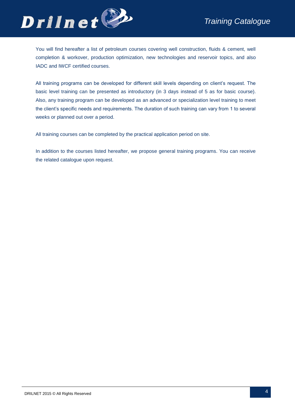

You will find hereafter a list of petroleum courses covering well construction, fluids & cement, well completion & workover, production optimization, new technologies and reservoir topics, and also IADC and IWCF certified courses.

All training programs can be developed for different skill levels depending on client's request. The basic level training can be presented as introductory (in 3 days instead of 5 as for basic course). Also, any training program can be developed as an advanced or specialization level training to meet the client's specific needs and requirements. The duration of such training can vary from 1 to several weeks or planned out over a period.

All training courses can be completed by the practical application period on site.

In addition to the courses listed hereafter, we propose general training programs. You can receive the related catalogue upon request.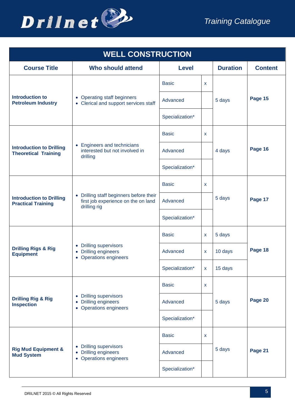

<span id="page-4-0"></span>

| <b>WELL CONSTRUCTION</b>                                       |                                                                                                              |                 |              |                 |                |  |
|----------------------------------------------------------------|--------------------------------------------------------------------------------------------------------------|-----------------|--------------|-----------------|----------------|--|
| <b>Course Title</b>                                            | <b>Who should attend</b>                                                                                     | <b>Level</b>    |              | <b>Duration</b> | <b>Content</b> |  |
|                                                                |                                                                                                              | <b>Basic</b>    | X            |                 |                |  |
| <b>Introduction to</b><br><b>Petroleum Industry</b>            | • Operating staff beginners<br>• Clerical and support services staff                                         | Advanced        |              | 5 days          | Page 15        |  |
|                                                                |                                                                                                              | Specialization* |              |                 |                |  |
|                                                                |                                                                                                              | <b>Basic</b>    | X            |                 |                |  |
| <b>Introduction to Drilling</b><br><b>Theoretical Training</b> | • Engineers and technicians<br>interested but not involved in<br>drilling                                    | Advanced        |              | 4 days          | Page 16        |  |
|                                                                |                                                                                                              | Specialization* |              |                 |                |  |
|                                                                | • Drilling staff beginners before their<br>first job experience on the on land<br>drilling rig               | <b>Basic</b>    | X            |                 |                |  |
| <b>Introduction to Drilling</b><br><b>Practical Training</b>   |                                                                                                              | Advanced        |              | 5 days          | Page 17        |  |
|                                                                |                                                                                                              | Specialization* |              |                 |                |  |
|                                                                | <b>Drilling supervisors</b><br>$\bullet$<br><b>Drilling engineers</b><br>$\bullet$<br>• Operations engineers | <b>Basic</b>    | X            | 5 days          |                |  |
| <b>Drilling Rigs &amp; Rig</b><br><b>Equipment</b>             |                                                                                                              | Advanced        | $\mathsf{x}$ | 10 days         | Page 18        |  |
|                                                                |                                                                                                              | Specialization* | $\mathbf{x}$ | 15 days         |                |  |
|                                                                |                                                                                                              | <b>Basic</b>    | X            |                 |                |  |
| <b>Drilling Rig &amp; Rig</b><br><b>Inspection</b>             | <b>Drilling supervisors</b><br>$\bullet$<br><b>Drilling engineers</b><br>• Operations engineers              | Advanced        |              | 5 days          | Page 20        |  |
|                                                                |                                                                                                              | Specialization* |              |                 |                |  |
|                                                                |                                                                                                              | <b>Basic</b>    | X            |                 |                |  |
| <b>Rig Mud Equipment &amp;</b><br><b>Mud System</b>            | • Drilling supervisors<br>• Drilling engineers<br>• Operations engineers                                     | Advanced        |              | 5 days          | Page 21        |  |
|                                                                |                                                                                                              | Specialization* |              |                 |                |  |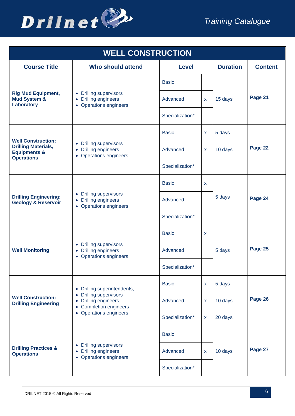

| <b>WELL CONSTRUCTION</b>                                                   |                                                                          |                 |          |                 |                |  |
|----------------------------------------------------------------------------|--------------------------------------------------------------------------|-----------------|----------|-----------------|----------------|--|
| <b>Course Title</b>                                                        | <b>Who should attend</b>                                                 | <b>Level</b>    |          | <b>Duration</b> | <b>Content</b> |  |
|                                                                            |                                                                          | <b>Basic</b>    |          |                 |                |  |
| <b>Rig Mud Equipment,</b><br><b>Mud System &amp;</b><br>Laboratory         | • Drilling supervisors<br>• Drilling engineers<br>• Operations engineers | Advanced        | X        | 15 days         | Page 21        |  |
|                                                                            |                                                                          | Specialization* |          |                 |                |  |
| <b>Well Construction:</b>                                                  |                                                                          | <b>Basic</b>    | <b>X</b> | 5 days          |                |  |
| <b>Drilling Materials,</b><br><b>Equipments &amp;</b><br><b>Operations</b> | • Drilling supervisors<br>• Drilling engineers<br>• Operations engineers | Advanced        | X        | 10 days         | Page 22        |  |
|                                                                            |                                                                          | Specialization* |          |                 |                |  |
| <b>Drilling Engineering:</b><br><b>Geology &amp; Reservoir</b>             | • Drilling supervisors<br>• Drilling engineers<br>• Operations engineers | <b>Basic</b>    | <b>X</b> |                 |                |  |
|                                                                            |                                                                          | Advanced        |          | 5 days          | Page 24        |  |
|                                                                            |                                                                          | Specialization* |          |                 |                |  |
|                                                                            | • Drilling supervisors<br>• Drilling engineers<br>• Operations engineers | <b>Basic</b>    | X.       |                 |                |  |
| <b>Well Monitoring</b>                                                     |                                                                          | Advanced        |          | 5 days          | Page 25        |  |
|                                                                            |                                                                          | Specialization* |          |                 |                |  |
|                                                                            | • Drilling superintendents,                                              | <b>Basic</b>    | X        | 5 days          |                |  |
| <b>Well Construction:</b><br><b>Drilling Engineering</b>                   | • Drilling supervisors<br>• Drilling engineers<br>• Completion engineers | Advanced        | X        | 10 days         | Page 26        |  |
|                                                                            | • Operations engineers                                                   | Specialization* | x        | 20 days         |                |  |
|                                                                            |                                                                          | <b>Basic</b>    |          |                 |                |  |
| <b>Drilling Practices &amp;</b><br><b>Operations</b>                       | • Drilling supervisors<br>• Drilling engineers<br>• Operations engineers | Advanced        | X        | 10 days         | Page 27        |  |
|                                                                            |                                                                          | Specialization* |          |                 |                |  |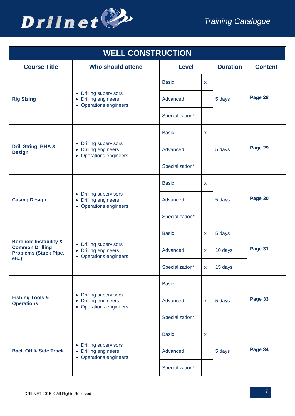

| <b>WELL CONSTRUCTION</b>                                        |                                                                                            |                 |              |                 |                |  |
|-----------------------------------------------------------------|--------------------------------------------------------------------------------------------|-----------------|--------------|-----------------|----------------|--|
| <b>Course Title</b>                                             | <b>Who should attend</b>                                                                   | <b>Level</b>    |              | <b>Duration</b> | <b>Content</b> |  |
|                                                                 |                                                                                            | <b>Basic</b>    | X.           |                 |                |  |
| <b>Rig Sizing</b>                                               | • Drilling supervisors<br>• Drilling engineers<br>• Operations engineers                   | Advanced        |              | 5 days          | Page 28        |  |
|                                                                 |                                                                                            | Specialization* |              |                 |                |  |
|                                                                 |                                                                                            | <b>Basic</b>    | X.           |                 |                |  |
| Drill String, BHA &<br><b>Design</b>                            | • Drilling supervisors<br>• Drilling engineers<br>• Operations engineers                   | Advanced        |              | 5 days          | Page 29        |  |
|                                                                 |                                                                                            | Specialization* |              |                 |                |  |
|                                                                 | • Drilling supervisors<br>• Drilling engineers<br>• Operations engineers                   | <b>Basic</b>    | <b>X</b>     |                 |                |  |
| <b>Casing Design</b>                                            |                                                                                            | Advanced        |              | 5 days          | Page 30        |  |
|                                                                 |                                                                                            | Specialization* |              |                 |                |  |
| <b>Borehole Instability &amp;</b>                               | <b>Drilling supervisors</b><br>$\bullet$<br>• Drilling engineers<br>• Operations engineers | <b>Basic</b>    | X            | 5 days          |                |  |
| <b>Common Drilling</b><br><b>Problems (Stuck Pipe,</b><br>etc.) |                                                                                            | Advanced        | X.           | 10 days         | Page 31        |  |
|                                                                 |                                                                                            | Specialization* | $\mathbf{x}$ | 15 days         |                |  |
|                                                                 |                                                                                            | <b>Basic</b>    |              |                 |                |  |
| <b>Fishing Tools &amp;</b><br><b>Operations</b>                 | • Drilling supervisors<br>• Drilling engineers<br>• Operations engineers                   | Advanced        | X.           | 5 days          | Page 33        |  |
|                                                                 |                                                                                            | Specialization* |              |                 |                |  |
|                                                                 |                                                                                            | <b>Basic</b>    | X            |                 |                |  |
| <b>Back Off &amp; Side Track</b>                                | • Drilling supervisors<br>• Drilling engineers<br>• Operations engineers                   | Advanced        |              | 5 days          | Page 34        |  |
|                                                                 |                                                                                            | Specialization* |              |                 |                |  |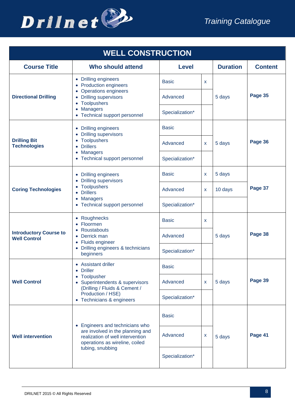

| <b>WELL CONSTRUCTION</b>                             |                                                                                                                                      |                 |          |                 |                |  |  |
|------------------------------------------------------|--------------------------------------------------------------------------------------------------------------------------------------|-----------------|----------|-----------------|----------------|--|--|
| <b>Course Title</b>                                  | <b>Who should attend</b>                                                                                                             | <b>Level</b>    |          | <b>Duration</b> | <b>Content</b> |  |  |
|                                                      | • Drilling engineers<br>• Production engineers<br>• Operations engineers                                                             | <b>Basic</b>    | <b>X</b> |                 |                |  |  |
| <b>Directional Drilling</b>                          | • Drilling supervisors<br>• Toolpushers                                                                                              | Advanced        |          | 5 days          | Page 35        |  |  |
|                                                      | • Managers<br>• Technical support personnel                                                                                          | Specialization* |          |                 |                |  |  |
|                                                      | • Drilling engineers<br>• Drilling supervisors                                                                                       | <b>Basic</b>    |          |                 |                |  |  |
| <b>Drilling Bit</b><br><b>Technologies</b>           | • Toolpushers<br><b>Drillers</b>                                                                                                     | Advanced        | <b>X</b> | 5 days          | Page 36        |  |  |
|                                                      | • Managers<br>• Technical support personnel                                                                                          | Specialization* |          |                 |                |  |  |
| <b>Coring Technologies</b>                           | • Drilling engineers<br>• Drilling supervisors                                                                                       | <b>Basic</b>    | X        | 5 days          |                |  |  |
|                                                      | • Toolpushers<br>• Drillers<br>• Managers<br>• Technical support personnel                                                           | Advanced        | X        | 10 days         | Page 37        |  |  |
|                                                      |                                                                                                                                      | Specialization* |          |                 |                |  |  |
|                                                      | • Roughnecks<br>• Floormen<br>• Roustabouts<br>• Derrick man<br>• Fluids engineer<br>• Drilling engineers & technicians<br>beginners | <b>Basic</b>    | X        |                 |                |  |  |
| <b>Introductory Course to</b><br><b>Well Control</b> |                                                                                                                                      | Advanced        |          | 5 days          | Page 38        |  |  |
|                                                      |                                                                                                                                      | Specialization* |          |                 |                |  |  |
|                                                      | • Assistant driller<br>• Driller                                                                                                     | <b>Basic</b>    |          |                 |                |  |  |
| <b>Well Control</b>                                  | • Toolpusher<br>• Superintendents & supervisors<br>(Drilling / Fluids & Cement /                                                     | Advanced        | X        | 5 days          | Page 39        |  |  |
|                                                      | Production / HSE)<br>• Technicians & engineers                                                                                       | Specialization* |          |                 |                |  |  |
| <b>Well intervention</b>                             | • Engineers and technicians who                                                                                                      | <b>Basic</b>    |          |                 |                |  |  |
|                                                      | are involved in the planning and<br>realization of well intervention<br>operations as wireline, coiled<br>tubing, snubbing           | Advanced        | X        | 5 days          | Page 41        |  |  |
|                                                      |                                                                                                                                      | Specialization* |          |                 |                |  |  |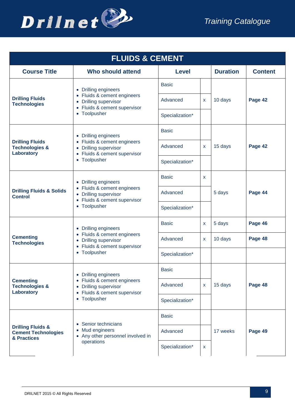

<span id="page-8-0"></span>

| <b>FLUIDS &amp; CEMENT</b>                                                |                                                                                                                                                    |                 |              |                 |                |  |
|---------------------------------------------------------------------------|----------------------------------------------------------------------------------------------------------------------------------------------------|-----------------|--------------|-----------------|----------------|--|
| <b>Course Title</b>                                                       | Who should attend                                                                                                                                  | <b>Level</b>    |              | <b>Duration</b> | <b>Content</b> |  |
|                                                                           | • Drilling engineers                                                                                                                               | <b>Basic</b>    |              |                 |                |  |
| <b>Drilling Fluids</b><br><b>Technologies</b>                             | Fluids & cement engineers<br><b>Drilling supervisor</b><br>$\bullet$<br>Fluids & cement supervisor<br>$\bullet$                                    | Advanced        | X            | 10 days         | Page 42        |  |
|                                                                           | • Toolpusher                                                                                                                                       | Specialization* |              |                 |                |  |
|                                                                           | • Drilling engineers                                                                                                                               | <b>Basic</b>    |              |                 |                |  |
| <b>Drilling Fluids</b><br><b>Technologies &amp;</b><br>Laboratory         | • Fluids & cement engineers<br>• Drilling supervisor<br>• Fluids & cement supervisor                                                               | Advanced        | $\mathsf{x}$ | 15 days         | Page 42        |  |
|                                                                           | • Toolpusher                                                                                                                                       | Specialization* |              |                 |                |  |
|                                                                           | • Drilling engineers<br>• Fluids & cement engineers<br>• Drilling supervisor<br>• Fluids & cement supervisor<br>Toolpusher<br>$\bullet$            | <b>Basic</b>    | $\mathsf{x}$ |                 |                |  |
| <b>Drilling Fluids &amp; Solids</b><br><b>Control</b>                     |                                                                                                                                                    | Advanced        |              | 5 days          | Page 44        |  |
|                                                                           |                                                                                                                                                    | Specialization* |              |                 |                |  |
|                                                                           | • Drilling engineers<br>Fluids & cement engineers<br>$\bullet$<br>• Drilling supervisor<br>• Fluids & cement supervisor<br>Toolpusher<br>$\bullet$ | <b>Basic</b>    | X            | 5 days          | Page 46        |  |
| <b>Cementing</b><br><b>Technologies</b>                                   |                                                                                                                                                    | Advanced        | X            | 10 days         | Page 48        |  |
|                                                                           |                                                                                                                                                    | Specialization* |              |                 |                |  |
|                                                                           | • Drilling engineers                                                                                                                               | <b>Basic</b>    |              |                 |                |  |
| <b>Cementing</b><br><b>Technologies &amp;</b><br>Laboratory               | • Fluids & cement engineers<br>• Drilling supervisor<br>• Fluids & cement supervisor                                                               | Advanced        | X            | 15 days         | Page 48        |  |
|                                                                           | • Toolpusher                                                                                                                                       | Specialization* |              |                 |                |  |
|                                                                           | • Senior technicians                                                                                                                               | <b>Basic</b>    |              |                 |                |  |
| <b>Drilling Fluids &amp;</b><br><b>Cement Technologies</b><br>& Practices | • Mud engineers<br>• Any other personnel involved in                                                                                               | Advanced        |              | 17 weeks        | Page 49        |  |
|                                                                           | operations                                                                                                                                         | Specialization* | $\mathsf{X}$ |                 |                |  |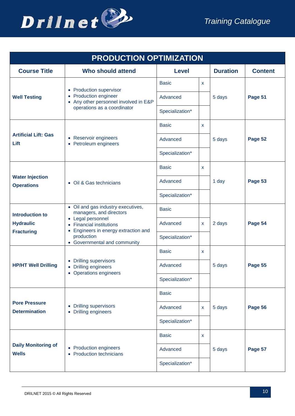

<span id="page-9-0"></span>

| <b>PRODUCTION OPTIMIZATION</b>                                 |                                                                                                                                                                    |              |                 |                |  |  |  |
|----------------------------------------------------------------|--------------------------------------------------------------------------------------------------------------------------------------------------------------------|--------------|-----------------|----------------|--|--|--|
| <b>Who should attend</b>                                       | <b>Level</b>                                                                                                                                                       |              | <b>Duration</b> | <b>Content</b> |  |  |  |
|                                                                | <b>Basic</b>                                                                                                                                                       | <b>X</b>     |                 |                |  |  |  |
| • Production engineer<br>• Any other personnel involved in E&P | Advanced                                                                                                                                                           |              | 5 days          | Page 51        |  |  |  |
|                                                                | Specialization*                                                                                                                                                    |              |                 |                |  |  |  |
|                                                                | <b>Basic</b>                                                                                                                                                       | X            |                 |                |  |  |  |
| • Reservoir engineers<br>• Petroleum engineers                 | Advanced                                                                                                                                                           |              | 5 days          | Page 52        |  |  |  |
|                                                                | Specialization*                                                                                                                                                    |              |                 |                |  |  |  |
|                                                                | <b>Basic</b>                                                                                                                                                       | X            |                 |                |  |  |  |
| • Oil & Gas technicians                                        | Advanced                                                                                                                                                           |              | 1 day           | Page 53        |  |  |  |
|                                                                | Specialization*                                                                                                                                                    |              |                 |                |  |  |  |
| • Oil and gas industry executives,<br>managers, and directors  | <b>Basic</b>                                                                                                                                                       |              |                 |                |  |  |  |
| • Legal personnel<br>• Financial institutions                  | Advanced                                                                                                                                                           | X            | 2 days          | Page 54        |  |  |  |
| production<br>• Governmental and community                     | Specialization*                                                                                                                                                    |              |                 |                |  |  |  |
|                                                                | <b>Basic</b>                                                                                                                                                       | X            |                 |                |  |  |  |
| • Drilling engineers                                           | Advanced                                                                                                                                                           |              | 5 days          | Page 55        |  |  |  |
|                                                                | Specialization*                                                                                                                                                    |              |                 |                |  |  |  |
|                                                                | <b>Basic</b>                                                                                                                                                       |              |                 |                |  |  |  |
| <b>Drilling supervisors</b><br>• Drilling engineers            | Advanced                                                                                                                                                           | $\mathsf{x}$ | 5 days          | Page 56        |  |  |  |
|                                                                | Specialization*                                                                                                                                                    |              |                 |                |  |  |  |
|                                                                | <b>Basic</b>                                                                                                                                                       | X            |                 |                |  |  |  |
| • Production engineers<br>• Production technicians             | Advanced                                                                                                                                                           |              | 5 days          | Page 57        |  |  |  |
|                                                                | Specialization*                                                                                                                                                    |              |                 |                |  |  |  |
|                                                                | • Production supervisor<br>operations as a coordinator<br>Engineers in energy extraction and<br>$\bullet$<br>• Drilling supervisors<br><b>Operations engineers</b> |              |                 |                |  |  |  |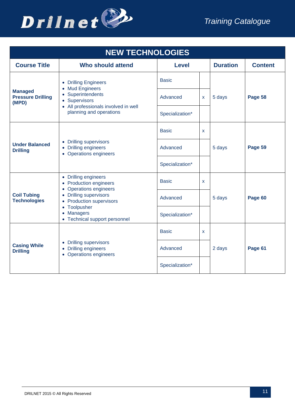

<span id="page-10-0"></span>

| <b>NEW TECHNOLOGIES</b>                             |                                                                                                                                                                                               |                   |   |                 |                |  |  |
|-----------------------------------------------------|-----------------------------------------------------------------------------------------------------------------------------------------------------------------------------------------------|-------------------|---|-----------------|----------------|--|--|
| <b>Course Title</b>                                 | <b>Who should attend</b>                                                                                                                                                                      | <b>Level</b>      |   | <b>Duration</b> | <b>Content</b> |  |  |
|                                                     | • Drilling Engineers<br>• Mud Engineers                                                                                                                                                       | <b>Basic</b>      |   |                 |                |  |  |
| <b>Managed</b><br><b>Pressure Drilling</b><br>(MPD) | • Superintendents<br>• Supervisors                                                                                                                                                            | Advanced          | X | 5 days          | Page 58        |  |  |
|                                                     | • All professionals involved in well<br>planning and operations                                                                                                                               | Specialization*   |   |                 |                |  |  |
| <b>Under Balanced</b><br><b>Drilling</b>            |                                                                                                                                                                                               | <b>Basic</b><br>X |   |                 |                |  |  |
|                                                     | • Drilling supervisors<br>• Drilling engineers<br>• Operations engineers                                                                                                                      | Advanced          |   | 5 days          | Page 59        |  |  |
|                                                     |                                                                                                                                                                                               | Specialization*   |   |                 |                |  |  |
|                                                     | • Drilling engineers<br>• Production engineers<br>• Operations engineers<br>• Drilling supervisors<br>• Production supervisors<br>• Toolpusher<br>• Managers<br>• Technical support personnel | <b>Basic</b>      | X |                 |                |  |  |
| <b>Coil Tubing</b><br><b>Technologies</b>           |                                                                                                                                                                                               | Advanced          |   | 5 days          | Page 60        |  |  |
|                                                     |                                                                                                                                                                                               | Specialization*   |   |                 |                |  |  |
| <b>Casing While</b><br><b>Drilling</b>              |                                                                                                                                                                                               | <b>Basic</b>      | X |                 |                |  |  |
|                                                     | • Drilling supervisors<br>• Drilling engineers<br>• Operations engineers                                                                                                                      | Advanced          |   | 2 days          | Page 61        |  |  |
|                                                     |                                                                                                                                                                                               | Specialization*   |   |                 |                |  |  |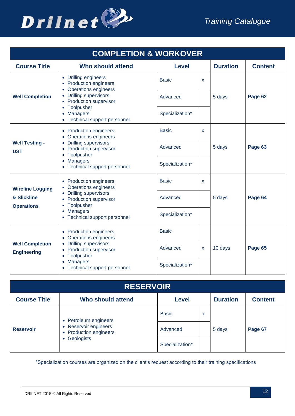

<span id="page-11-0"></span>

| <b>COMPLETION &amp; WORKOVER</b>             |                                                                                                                                                                            |                 |   |                 |                |  |  |
|----------------------------------------------|----------------------------------------------------------------------------------------------------------------------------------------------------------------------------|-----------------|---|-----------------|----------------|--|--|
| <b>Course Title</b>                          | <b>Who should attend</b>                                                                                                                                                   | <b>Level</b>    |   | <b>Duration</b> | <b>Content</b> |  |  |
|                                              | • Drilling engineers<br><b>Production engineers</b><br><b>Operations engineers</b>                                                                                         | <b>Basic</b>    | X |                 |                |  |  |
| <b>Well Completion</b>                       | <b>Drilling supervisors</b><br><b>Production supervisor</b>                                                                                                                | Advanced        |   | 5 days          | Page 62        |  |  |
|                                              | Toolpusher<br><b>Managers</b><br>Technical support personnel                                                                                                               | Specialization* |   |                 |                |  |  |
| <b>Well Testing -</b><br><b>DST</b>          | • Production engineers<br><b>Operations engineers</b>                                                                                                                      | <b>Basic</b>    | X | 5 days          |                |  |  |
|                                              | <b>Drilling supervisors</b><br><b>Production supervisor</b><br>Toolpusher<br><b>Managers</b><br>Technical support personnel                                                | Advanced        |   |                 | Page 63        |  |  |
|                                              |                                                                                                                                                                            | Specialization* |   |                 |                |  |  |
| <b>Wireline Logging</b>                      | • Production engineers<br>• Operations engineers<br>• Drilling supervisors<br><b>Production supervisor</b><br>Toolpusher<br><b>Managers</b><br>Technical support personnel | <b>Basic</b>    | X | 5 days          | Page 64        |  |  |
| & Slickline<br><b>Operations</b>             |                                                                                                                                                                            | Advanced        |   |                 |                |  |  |
|                                              |                                                                                                                                                                            | Specialization* |   |                 |                |  |  |
|                                              | • Production engineers<br><b>Operations engineers</b>                                                                                                                      | <b>Basic</b>    |   |                 |                |  |  |
| <b>Well Completion</b><br><b>Engineering</b> | • Drilling supervisors<br><b>Production supervisor</b><br>$\bullet$<br>Toolpusher<br>$\bullet$                                                                             | Advanced        | X | 10 days         | Page 65        |  |  |
|                                              | <b>Managers</b><br>$\bullet$<br>Technical support personnel                                                                                                                | Specialization* |   |                 |                |  |  |

<span id="page-11-1"></span>

| <b>RESERVOIR</b>    |                                                                                        |                 |   |                 |                |  |  |  |
|---------------------|----------------------------------------------------------------------------------------|-----------------|---|-----------------|----------------|--|--|--|
| <b>Course Title</b> | Who should attend                                                                      | <b>Level</b>    |   | <b>Duration</b> | <b>Content</b> |  |  |  |
| <b>Reservoir</b>    | • Petroleum engineers<br>• Reservoir engineers<br>• Production engineers<br>Geologists | <b>Basic</b>    | X | 5 days          | Page 67        |  |  |  |
|                     |                                                                                        | Advanced        |   |                 |                |  |  |  |
|                     |                                                                                        | Specialization* |   |                 |                |  |  |  |

\*Specialization courses are organized on the client's request according to their training specifications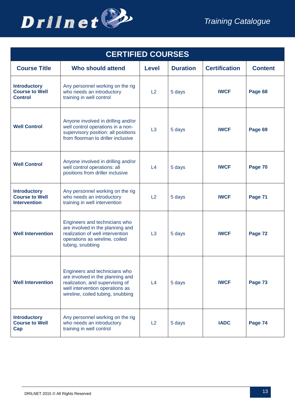

<span id="page-12-0"></span>

| <b>CERTIFIED COURSES</b>                                            |                                                                                                                                                                              |                |                 |                      |                |  |  |  |
|---------------------------------------------------------------------|------------------------------------------------------------------------------------------------------------------------------------------------------------------------------|----------------|-----------------|----------------------|----------------|--|--|--|
| <b>Course Title</b>                                                 | <b>Who should attend</b>                                                                                                                                                     | <b>Level</b>   | <b>Duration</b> | <b>Certification</b> | <b>Content</b> |  |  |  |
| <b>Introductory</b><br><b>Course to Well</b><br><b>Control</b>      | Any personnel working on the rig<br>who needs an introductory<br>training in well control                                                                                    | L2             | 5 days          | <b>IWCF</b>          | Page 68        |  |  |  |
| <b>Well Control</b>                                                 | Anyone involved in drilling and/or<br>well control operations in a non-<br>supervisory position: all positions<br>from floorman to driller inclusive                         | L3             | 5 days          | <b>IWCF</b>          | Page 69        |  |  |  |
| <b>Well Control</b>                                                 | Anyone involved in drilling and/or<br>well control operations: all<br>positions from driller inclusive                                                                       | L <sub>4</sub> | 5 days          | <b>IWCF</b>          | Page 70        |  |  |  |
| <b>Introductory</b><br><b>Course to Well</b><br><b>Intervention</b> | Any personnel working on the rig<br>who needs an introductory<br>training in well intervention                                                                               | L2             | 5 days          | <b>IWCF</b>          | Page 71        |  |  |  |
| <b>Well Intervention</b>                                            | Engineers and technicians who<br>are involved in the planning and<br>realization of well intervention<br>operations as wireline, coiled<br>tubing, snubbing                  | L3             | 5 days          | <b>IWCF</b>          | Page 72        |  |  |  |
| <b>Well Intervention</b>                                            | Engineers and technicians who<br>are involved in the planning and<br>realization, and supervising of<br>well intervention operations as<br>wireline, coiled tubing, snubbing | L4             | 5 days          | <b>IWCF</b>          | Page 73        |  |  |  |
| <b>Introductory</b><br><b>Course to Well</b><br>Cap                 | Any personnel working on the rig<br>who needs an introductory<br>training in well control                                                                                    | L2             | 5 days          | <b>IADC</b>          | Page 74        |  |  |  |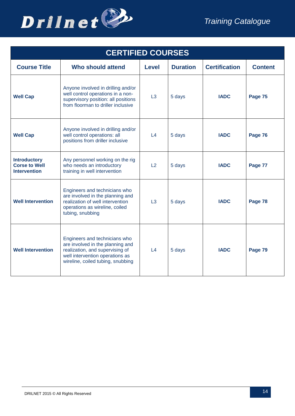

| <b>CERTIFIED COURSES</b>                                           |                                                                                                                                                                              |                     |                 |                      |                |  |  |  |
|--------------------------------------------------------------------|------------------------------------------------------------------------------------------------------------------------------------------------------------------------------|---------------------|-----------------|----------------------|----------------|--|--|--|
| <b>Course Title</b>                                                | <b>Who should attend</b>                                                                                                                                                     | <b>Level</b>        | <b>Duration</b> | <b>Certification</b> | <b>Content</b> |  |  |  |
| <b>Well Cap</b>                                                    | Anyone involved in drilling and/or<br>well control operations in a non-<br>supervisory position: all positions<br>from floorman to driller inclusive                         | L3                  | 5 days          | <b>IADC</b>          | Page 75        |  |  |  |
| <b>Well Cap</b>                                                    | Anyone involved in drilling and/or<br>well control operations: all<br>positions from driller inclusive                                                                       | L4                  | 5 days          | <b>IADC</b>          | Page 76        |  |  |  |
| <b>Introductory</b><br><b>Corse to Well</b><br><b>Intervention</b> | Any personnel working on the rig<br>who needs an introductory<br>training in well intervention                                                                               | L2                  | 5 days          | <b>IADC</b>          | Page 77        |  |  |  |
| <b>Well Intervention</b>                                           | Engineers and technicians who<br>are involved in the planning and<br>realization of well intervention<br>operations as wireline, coiled<br>tubing, snubbing                  | L3                  | 5 days          | <b>IADC</b>          | Page 78        |  |  |  |
| <b>Well Intervention</b>                                           | Engineers and technicians who<br>are involved in the planning and<br>realization, and supervising of<br>well intervention operations as<br>wireline, coiled tubing, snubbing | $\lfloor 4 \rfloor$ | 5 days          | <b>IADC</b>          | Page 79        |  |  |  |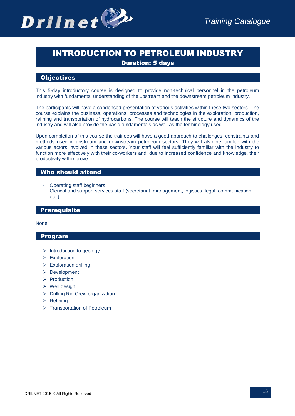

# INTRODUCTION TO PETROLEUM INDUSTRY Duration: 5 days

# **Objectives**

This 5-day introductory course is designed to provide non-technical personnel in the petroleum industry with fundamental understanding of the upstream and the downstream petroleum industry.

The participants will have a condensed presentation of various activities within these two sectors. The course explains the business, operations, processes and technologies in the exploration, production, refining and transportation of hydrocarbons. The course will teach the structure and dynamics of the industry and will also provide the basic fundamentals as well as the terminology used.

Upon completion of this course the trainees will have a good approach to challenges, constraints and methods used in upstream and downstream petroleum sectors. They will also be familiar with the various actors involved in these sectors. Your staff will feel sufficiently familiar with the industry to function more effectively with their co-workers and, due to increased confidence and knowledge, their productivity will improve

# Who should attend

- Operating staff beginners
- Clerical and support services staff (secretariat, management, logistics, legal, communication, etc.).

#### **Prerequisite**

None

# Program

- $\triangleright$  Introduction to geology
- $\triangleright$  Exploration
- $\triangleright$  Exploration drilling
- **▶ Development**
- $\triangleright$  Production
- $\triangleright$  Well design
- $\triangleright$  Drilling Rig Crew organization
- $\triangleright$  Refining
- **F** Transportation of Petroleum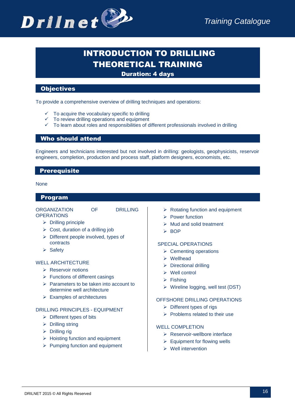

# **INTRODUCTION TO DRILILING** THEORETICAL TRAINING

# Duration: 4 days

# **Objectives**

To provide a comprehensive overview of drilling techniques and operations:

- To acquire the vocabulary specific to drilling
- To review drilling operations and equipment
- To learn about roles and responsibilities of different professionals involved in drilling

# Who should attend

Engineers and technicians interested but not involved in drilling: geologists, geophysicists, reservoir engineers, completion, production and process staff, platform designers, economists, etc.

# **Prerequisite**

#### None

#### Program

#### ORGANIZATION OF DRILLING **OPERATIONS**

- $\triangleright$  Drilling principle
- $\triangleright$  Cost, duration of a drilling job
- $\triangleright$  Different people involved, types of contracts
- $\triangleright$  Safety

#### WELL ARCHITECTURE

- ▶ Reservoir notions
- $\triangleright$  Functions of different casings
- $\triangleright$  Parameters to be taken into account to determine well architecture
- $\triangleright$  Examples of architectures

#### DRILLING PRINCIPLES - EQUIPMENT

- $\triangleright$  Different types of bits
- $\triangleright$  Drilling string
- $\triangleright$  Drilling rig
- $\triangleright$  Hoisting function and equipment
- $\triangleright$  Pumping function and equipment
- $\triangleright$  Rotating function and equipment
- $\triangleright$  Power function
- $\triangleright$  Mud and solid treatment
- $>$  BOP

#### SPECIAL OPERATIONS

- $\triangleright$  Cementing operations
- Wellhead
- $\triangleright$  Directional drilling
- $\triangleright$  Well control
- $\triangleright$  Fishing
- $\triangleright$  Wireline logging, well test (DST)

#### OFFSHORE DRILLING OPERATIONS

- $\triangleright$  Different types of rigs
- $\triangleright$  Problems related to their use

#### WELL COMPLETION

- $\triangleright$  Reservoir-wellbore interface
- $\triangleright$  Equipment for flowing wells
- $\triangleright$  Well intervention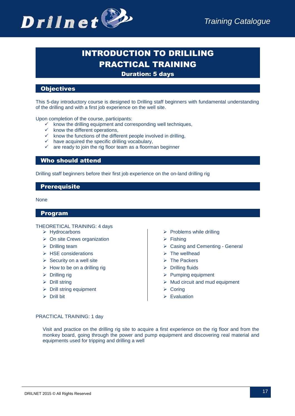

# INTRODUCTION TO DRILILING PRACTICAL TRAINING

Duration: 5 days

# **Objectives**

This 5-day introductory course is designed to Drilling staff beginners with fundamental understanding of the drilling and with a first job experience on the well site.

Upon completion of the course, participants:

- $\checkmark$  know the drilling equipment and corresponding well techniques,
- $\times$  know the different operations,
- $\overline{K}$  know the functions of the different people involved in drilling,
- $\checkmark$  have acquired the specific drilling vocabulary,
- are ready to join the rig floor team as a floorman beginner

### Who should attend

Drilling staff beginners before their first job experience on the on-land drilling rig

### **Prerequisite**

None

#### Program

THEORETICAL TRAINING: 4 days

- Hydrocarbons
- $\triangleright$  On site Crews organization
- $\triangleright$  Drilling team
- $\triangleright$  HSE considerations
- $\triangleright$  Security on a well site
- $\triangleright$  How to be on a drilling rig
- $\triangleright$  Drilling rig
- $\triangleright$  Drill string
- $\triangleright$  Drill string equipment
- $\triangleright$  Drill bit
- $\triangleright$  Problems while drilling
- $\triangleright$  Fishing
- Casing and Cementing General
- $\triangleright$  The wellhead
- $\triangleright$  The Packers
- $\triangleright$  Drilling fluids
- $\triangleright$  Pumping equipment
- $\triangleright$  Mud circuit and mud equipment
- **Coring**
- $\triangleright$  Evaluation

#### PRACTICAL TRAINING: 1 day

Visit and practice on the drilling rig site to acquire a first experience on the rig floor and from the monkey board, going through the power and pump equipment and discovering real material and equipments used for tripping and drilling a well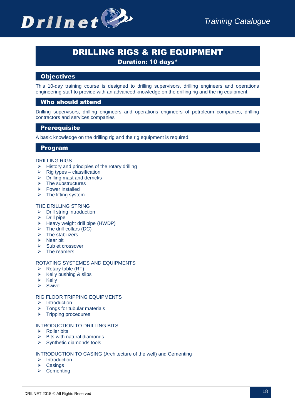

# DRILLING RIGS & RIG EQUIPMENT

Duration: 10 days\*

# **Objectives**

This 10-day training course is designed to drilling supervisors, drilling engineers and operations engineering staff to provide with an advanced knowledge on the drilling rig and the rig equipment.

# Who should attend

Drilling supervisors, drilling engineers and operations engineers of petroleum companies, drilling contractors and services companies

# **Prerequisite**

A basic knowledge on the drilling rig and the rig equipment is required.

# Program

#### DRILLING RIGS

- $\triangleright$  History and principles of the rotary drilling
- $\triangleright$  Rig types classification
- $\triangleright$  Drilling mast and derricks
- $\triangleright$  The substructures
- $\triangleright$  Power installed
- $\triangleright$  The lifting system

#### THE DRILLING STRING

- $\triangleright$  Drill string introduction
- $\triangleright$  Drill pipe
- $\triangleright$  Heavy weight drill pipe (HWDP)
- $\triangleright$  The drill-collars (DC)
- $\triangleright$  The stabilizers
- $\triangleright$  Near bit
- $\triangleright$  Sub et crossover
- $\triangleright$  The reamers

#### ROTATING SYSTEMES AND EQUIPMENTS

- $\triangleright$  Rotary table (RT)
- $\triangleright$  Kelly bushing & slips
- $\triangleright$  Kelly
- $\triangleright$  Swivel

# RIG FLOOR TRIPPING EQUIPMENTS

- $\triangleright$  Introduction
- Tongs for tubular materials
- $\triangleright$  Tripping procedures

#### INTRODUCTION TO DRILLING BITS

- $\triangleright$  Roller bits
- $\triangleright$  Bits with natural diamonds
- $\triangleright$  Synthetic diamonds tools

#### INTRODUCTION TO CASING (Architecture of the well) and Cementing

- $\triangleright$  Introduction
- $\triangleright$  Casings
- $\triangleright$  Cementing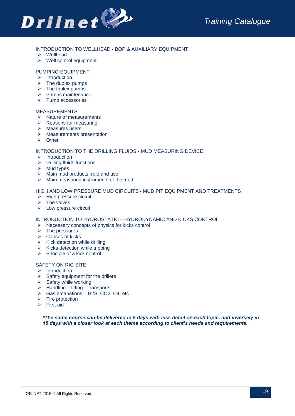

#### INTRODUCTION TO WELLHEAD - BOP & AUXILIARY EQUIPMENT

- Wellhead
- $\triangleright$  Well control equipment

#### PUMPING EQUIPMENT

- $\triangleright$  Introduction
- $\triangleright$  The duplex pumps
- $\triangleright$  The triplex pumps
- $\triangleright$  Pumps maintenance
- $\triangleright$  Pump accessories

#### MEASUREMENTS

- $\triangleright$  Nature of measurements
- $\triangleright$  Reasons for measuring
- $\triangleright$  Measures users
- $\triangleright$  Measurements presentation
- **▶** Other

#### INTRODUCTION TO THE DRILLING FLUIDS - MUD MEASURING DEVICE

- $\triangleright$  Introduction
- $\triangleright$  Drilling fluids functions
- $\triangleright$  Mud types
- $\triangleright$  Main mud products: role and use
- $\triangleright$  Main measuring instruments of the mud

#### HIGH AND LOW PRESSURE MUD CIRCUITS - MUD PIT EQUIPMENT AND TREATMENTS

- $\triangleright$  High pressure circuit
- $\triangleright$  The valves
- $\triangleright$  Low pressure circuit

#### INTRODUCTION TO HYDROSTATIC – HYDRODYNAMIC AND KICKS CONTROL

- $\triangleright$  Necessary concepts of physics for kicks control
- $\triangleright$  The pressures
- $\triangleright$  Causes of kicks
- $\triangleright$  Kick detection while drilling
- $\triangleright$  Kicks detection while tripping
- $\triangleright$  Principle of a kick control

#### SAFETY ON RIG SITE

- $\triangleright$  Introduction
- $\triangleright$  Safety equipment for the drillers
- $\triangleright$  Safety while working
- $\triangleright$  Handling lifting transports
- $\triangleright$  Gas emanations H2S, CO2, C4, etc
- $\triangleright$  Fire protection
- $\triangleright$  First aid

*\*The same course can be delivered in 5 days with less detail on each topic, and inversely in 15 days with a closer look at each theme according to client's needs and requirements.*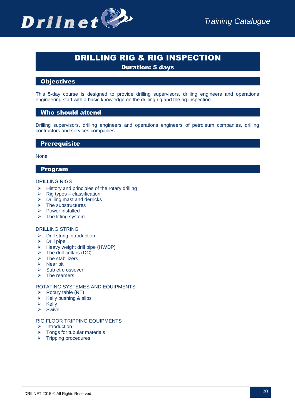

# DRILLING RIG & RIG INSPECTION

Duration: 5 days

# **Objectives**

This 5-day course is designed to provide drilling supervisors, drilling engineers and operations engineering staff with a basic knowledge on the drilling rig and the rig inspection.

# Who should attend

Drilling supervisors, drilling engineers and operations engineers of petroleum companies, drilling contractors and services companies

# **Prerequisite**

#### None

# Program

#### DRILLING RIGS

- $\triangleright$  History and principles of the rotary drilling
- $\triangleright$  Rig types classification
- $\triangleright$  Drilling mast and derricks
- $\triangleright$  The substructures
- $\triangleright$  Power installed
- $\triangleright$  The lifting system

#### DRILLING STRING

- $\triangleright$  Drill string introduction
- $\triangleright$  Drill pipe
- $\geq$  Heavy weight drill pipe (HWDP)<br> $\geq$  The drill-collars (DC)
- $\triangleright$  The drill-collars (DC)<br> $\triangleright$  The stabilizers
- The stabilizers
- $\triangleright$  Near bit
- $\triangleright$  Sub et crossover
- $\triangleright$  The reamers

#### ROTATING SYSTEMES AND EQUIPMENTS

- $\triangleright$  Rotary table (RT)
- $\triangleright$  Kelly bushing & slips
- $\triangleright$  Kelly
- $\triangleright$  Swivel

#### RIG FLOOR TRIPPING EQUIPMENTS

- $\triangleright$  Introduction
- $\triangleright$  Tongs for tubular materials
- $\triangleright$  Tripping procedures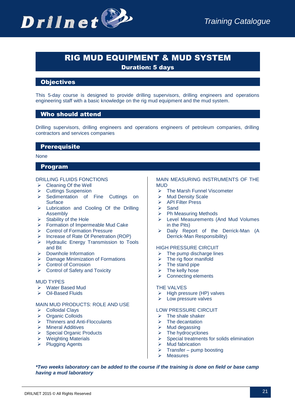

# RIG MUD EQUIPMENT & MUD SYSTEM

Duration: 5 days

# **Objectives**

This 5-day course is designed to provide drilling supervisors, drilling engineers and operations engineering staff with a basic knowledge on the rig mud equipment and the mud system.

# Who should attend

Drilling supervisors, drilling engineers and operations engineers of petroleum companies, drilling contractors and services companies

# **Prerequisite**

#### None

#### Program

#### DRILLING FLUIDS FONCTIONS

- $\triangleright$  Cleaning Of the Well
- ▶ Cuttings Suspension
- Sedimentation of Fine Cuttings on **Surface**
- > Lubrication and Cooling Of the Drilling Assembly
- $\triangleright$  Stability of the Hole
- Formation of Impermeable Mud Cake
- **▶ Control of Formation Pressure**
- Increase of Rate Of Penetration (ROP)
- > Hydraulic Energy Transmission to Tools and Bit
- > Downhole Information
- ▶ Damage Minimization of Formations
- **►** Control of Corrosion
- $\triangleright$  Control of Safety and Toxicity

#### MUD TYPES

- Water Based Mud
- Oil-Based Fluids

#### MAIN MUD PRODUCTS: ROLE AND USE

- Colloidal Clays
- **▶ Organic Colloids**
- Thinners and Anti-Flocculants
- Mineral Additives
- $\triangleright$  Special Organic Products
- $\triangleright$  Weighting Materials
- $\triangleright$  Plugging Agents

#### MAIN MEASURING INSTRUMENTS OF THE MUD

- **▶ The Marsh Funnel Viscometer**
- $\triangleright$  Mud Density Scale
- > API Filter Press
- $\triangleright$  Sand
- $\triangleright$  Ph Measuring Methods
- Level Measurements (And Mud Volumes in the Pits)
- Daily Report of the Derrick-Man (A Derrick-Man Responsibility)

#### HIGH PRESSURE CIRCUIT

- $\triangleright$  The pump discharge lines
- $\triangleright$  The rig floor manifold
- $\triangleright$  The stand pipe
- $\triangleright$  The kelly hose
- $\triangleright$  Connecting elements

#### THE VALVES

- $\triangleright$  High pressure (HP) valves
- $\triangleright$  Low pressure valves

#### LOW PRESSURE CIRCUIT

- $\triangleright$  The shale shaker
- $\triangleright$  The decantation
- $\triangleright$  Mud degassing
- $\triangleright$  The hydrocyclones
- $\triangleright$  Special treatments for solids elimination
- $\triangleright$  Mud fabrication
- $\triangleright$  Transfer pump boosting
- **Measures**

*\*Two weeks laboratory can be added to the course if the training is done on field or base camp having a mud laboratory*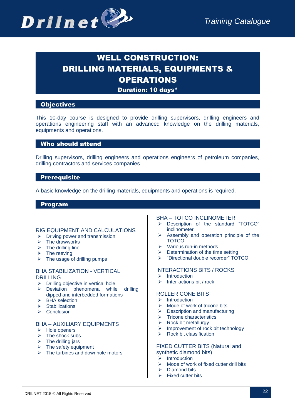

# WELL CONSTRUCTION: DRILLING MATERIALS, EQUIPMENTS & OPERATIONS

Duration: 10 days\*

# **Objectives**

This 10-day course is designed to provide drilling supervisors, drilling engineers and operations engineering staff with an advanced knowledge on the drilling materials, equipments and operations.

# Who should attend

Drilling supervisors, drilling engineers and operations engineers of petroleum companies, drilling contractors and services companies

# **Prerequisite**

A basic knowledge on the drilling materials, equipments and operations is required.

# Program

#### RIG EQUIPMENT AND CALCULATIONS

- $\triangleright$  Driving power and transmission
- $\triangleright$  The drawworks
- $\triangleright$  The drilling line
- $\triangleright$  The reeving
- $\triangleright$  The usage of drilling pumps

#### BHA STABILIZATION - VERTICAL DRILLING

- $\triangleright$  Drilling objective in vertical hole
- > Deviation phenomena while drilling dipped and interbedded formations
- $\triangleright$  BHA selection
- $\triangleright$  Stabilizations
- $\triangleright$  Conclusion

# BHA – AUXILIARY EQUIPMENTS

- $\triangleright$  Hole openers
- $\triangleright$  The shock subs
- $\triangleright$  The drilling jars
- $\triangleright$  The safety equipment
- $\triangleright$  The turbines and downhole motors

# BHA – TOTCO INCLINOMETER

- > Description of the standard "TOTCO" inclinometer
- $\triangleright$  Assembly and operation principle of the **TOTCO**
- $\triangleright$  Various run-in methods
- $\triangleright$  Determination of the time setting
- > "Directional double recorder" TOTCO

# INTERACTIONS BITS / ROCKS

- $\triangleright$  Introduction
- $\triangleright$  Inter-actions bit / rock

#### ROLLER CONE BITS

- $\triangleright$  Introduction
- $\triangleright$  Mode of work of tricone bits
- $\triangleright$  Description and manufacturing
- $\triangleright$  Tricone characteristics
- $\triangleright$  Rock bit metallurgy
- **Improvement of rock bit technology**
- $\triangleright$  Rock bit classification

#### FIXED CUTTER BITS (Natural and synthetic diamond bits)

- $\triangleright$  Introduction
- $\triangleright$  Mode of work of fixed cutter drill bits
- $\triangleright$  Diamond bits
- $\triangleright$  Fixed cutter bits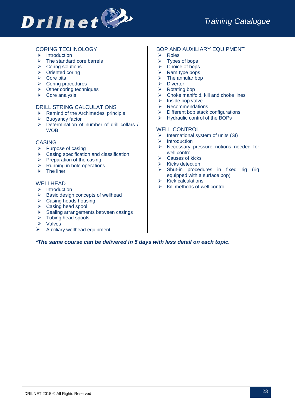

# CORING TECHNOLOGY

- $\triangleright$  Introduction
- $\triangleright$  The standard core barrels
- $\triangleright$  Coring solutions
- **▶** Oriented coring
- $\triangleright$  Core bits
- **►** Coring procedures
- $\triangleright$  Other coring techniques
- $\triangleright$  Core analysis

#### DRILL STRING CALCULATIONS

- $\triangleright$  Remind of the Archimedes' principle
- $\triangleright$  Buoyancy factor
- $\triangleright$  Determination of number of drill collars / **WOB**

#### CASING

- $\triangleright$  Purpose of casing
- $\triangleright$  Casing specification and classification
- $\triangleright$  Preparation of the casing
- $\triangleright$  Running in hole operations
- $\triangleright$  The liner

#### WELL HEAD

- $\triangleright$  Introduction
- $\triangleright$  Basic design concepts of wellhead
- $\triangleright$  Casing heads housing
- ▶ Casing head spool
- $\triangleright$  Sealing arrangements between casings
- $\triangleright$  Tubing head spools
- **▶** Valves
- $\triangleright$  Auxiliary wellhead equipment

#### BOP AND AUXILIARY EQUIPMENT

- $\triangleright$  Roles
- $\triangleright$  Types of bops
- Choice of bops
- $\triangleright$  Ram type bops
- $\triangleright$  The annular bop
- **▶** Diverter
- $\triangleright$  Rotating bop
- $\triangleright$  Choke manifold, kill and choke lines
- $\triangleright$  Inside bop valve
- $\triangleright$  Recommendations
- $\triangleright$  Different bop stack configurations
- $\triangleright$  Hydraulic control of the BOPs

#### WELL CONTROL

- $\triangleright$  International system of units (SI)
- $\triangleright$  Introduction
- $\triangleright$  Necessary pressure notions needed for well control
- $\triangleright$  Causes of kicks
- $\triangleright$  Kicks detection
- $\triangleright$  Shut-in procedures in fixed rig (rig equipped with a surface bop)
- $\triangleright$  Kick calculations
- Kill methods of well control

*\*The same course can be delivered in 5 days with less detail on each topic.*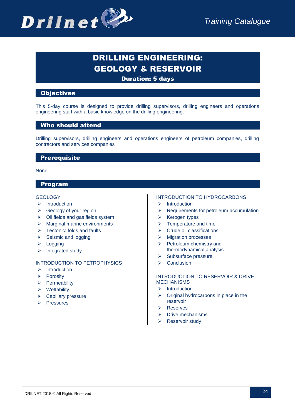

# DRILLING ENGINEERING: GEOLOGY & RESERVOIR

Duration: 5 days

# **Objectives**

This 5-day course is designed to provide drilling supervisors, drilling engineers and operations engineering staff with a basic knowledge on the drilling engineering.

# Who should attend

Drilling supervisors, drilling engineers and operations engineers of petroleum companies, drilling contractors and services companies

# **Prerequisite**

None

# Program

#### **GEOLOGY**

- $\triangleright$  Introduction
- $\triangleright$  Geology of your region
- $\triangleright$  Oil fields and gas fields system
- $\triangleright$  Marginal marine environments
- $\triangleright$  Tectonic: folds and faults
- $\triangleright$  Seismic and logging
- $\triangleright$  Logging
- $\triangleright$  Integrated study

#### INTRODUCTION TO PETROPHYSICS

- $\triangleright$  Introduction
- $\triangleright$  Porosity
- $\triangleright$  Permeability
- $\triangleright$  Wettability
- $\triangleright$  Capillary pressure
- $\triangleright$  Pressures

#### INTRODUCTION TO HYDROCARBONS

- $\triangleright$  Introduction
- $\triangleright$  Requirements for petroleum accumulation
- $\triangleright$  Kerogen types
- $\triangleright$  Temperature and time
- $\triangleright$  Crude oil classifications
- $\triangleright$  Migration processes
- $\triangleright$  Petroleum chemistry and thermodynamical analysis
- $\triangleright$  Subsurface pressure
- $\triangleright$  Conclusion

#### INTRODUCTION TO RESERVOIR & DRIVE MECHANISMS

- $\triangleright$  Introduction
- $\triangleright$  Original hydrocarbons in place in the reservoir
- Reserves
- $\triangleright$  Drive mechanisms
- **Reservoir study**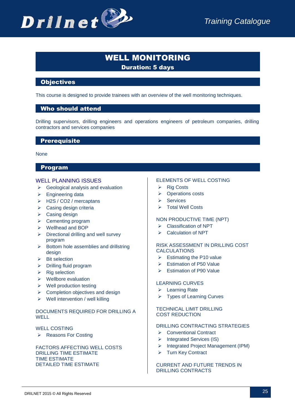

# WELL MONITORING Duration: 5 days

# **Objectives**

This course is designed to provide trainees with an overview of the well monitoring techniques.

# Who should attend

Drilling supervisors, drilling engineers and operations engineers of petroleum companies, drilling contractors and services companies

#### **Prerequisite**

None

# Program

#### WELL PLANNING ISSUES

- $\triangleright$  Geological analysis and evaluation
- $\triangleright$  Engineering data
- ▶ H2S / CO2 / mercaptans
- $\triangleright$  Casing design criteria
- $\triangleright$  Casing design
- $\triangleright$  Cementing program
- Wellhead and BOP
- $\triangleright$  Directional drilling and well survey program
- $\triangleright$  Bottom hole assemblies and drillstring design
- $\triangleright$  Bit selection
- $\triangleright$  Drilling fluid program
- $\triangleright$  Rig selection
- $\triangleright$  Wellbore evaluation
- $\triangleright$  Well production testing
- $\triangleright$  Completion objectives and design
- $\triangleright$  Well intervention / well killing

# DOCUMENTS REQUIRED FOR DRILLING A W<sub>FLI</sub>

#### WELL COSTING

▶ Reasons For Costing

FACTORS AFFECTING WELL COSTS DRILLING TIME ESTIMATE TIME ESTIMATE DETAILED TIME ESTIMATE

#### ELEMENTS OF WELL COSTING

- $\triangleright$  Rig Costs
- **▶** Operations costs
- $\triangleright$  Services
- Total Well Costs

#### NON PRODUCTIVE TIME (NPT)

- **►** Classification of NPT
- Calculation of NPT

#### RISK ASSESSMENT IN DRILLING COST CALCULATIONS

- $\triangleright$  Estimating the P10 value
- $\triangleright$  Estimation of P50 Value
- $\triangleright$  Estimation of P90 Value

#### LEARNING CURVES

- ▶ Learning Rate
- Types of Learning Curves

#### TECHNICAL LIMIT DRILLING COST REDUCTION

#### DRILLING CONTRACTING STRATEGIES

- ▶ Conventional Contract
- $\triangleright$  Integrated Services (IS)
- > Integrated Project Management (IPM)
- **▶ Turn Key Contract**

#### CURRENT AND FUTURE TRENDS IN DRILLING CONTRACTS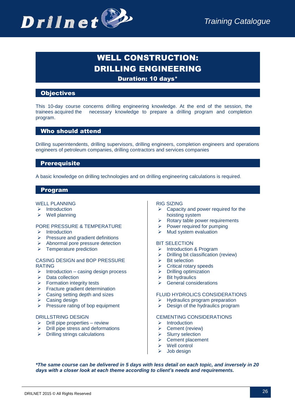

# WELL CONSTRUCTION: DRILLING ENGINEERING

Duration: 10 days\*

# **Objectives**

This 10-day course concerns drilling engineering knowledge. At the end of the session, the trainees acquired the necessary knowledge to prepare a drilling program and completion program.

# Who should attend

Drilling superintendents, drilling supervisors, drilling engineers, completion engineers and operations engineers of petroleum companies, drilling contractors and services companies

# **Prerequisite**

A basic knowledge on drilling technologies and on drilling engineering calculations is required.

# Program

#### WELL PLANNING

- $\triangleright$  Introduction
- $\triangleright$  Well planning

# PORE PRESSURE & TEMPERATURE

- $\triangleright$  Introduction
- $\triangleright$  Pressure and gradient definitions
- $\triangleright$  Abnormal pore pressure detection
- $\triangleright$  Temperature prediction

#### CASING DESIGN and BOP PRESSURE RATING

- $\triangleright$  Introduction casing design process
- $\triangleright$  Data collection
- $\triangleright$  Formation integrity tests
- $\triangleright$  Fracture gradient determination
- $\triangleright$  Casing setting depth and sizes
- $\triangleright$  Casing design
- $\triangleright$  Pressure rating of bop equipment

#### DRILLSTRING DESIGN

- $\triangleright$  Drill pipe properties review
- $\triangleright$  Drill pipe stress and deformations
- $\triangleright$  Drilling strings calculations

#### RIG SIZING

- $\triangleright$  Capacity and power required for the hoisting system
- $\triangleright$  Rotary table power requirements
- $\triangleright$  Power required for pumping
- $\triangleright$  Mud system evaluation

#### BIT SELECTION

- > Introduction & Program
- $\triangleright$  Drilling bit classification (review)
- $\triangleright$  Bit selection
- $\triangleright$  Critical rotary speeds
- $\triangleright$  Drilling optimization
- Bit hydraulics
- $\triangleright$  General considerations

#### FLUID HYDROLICS CONSIDERATIONS

- $\triangleright$  Hydraulics program preparation
- $\triangleright$  Design of the hydraulics program

#### CEMENTING CONSIDERATIONS

- $\triangleright$  Introduction
- ▶ Cement (review)
- $\triangleright$  Slurry selection
- $\triangleright$  Cement placement
- $\triangleright$  Well control
- Job design

*\*The same course can be delivered in 5 days with less detail on each topic, and inversely in 20 days with a closer look at each theme according to client's needs and requirements.*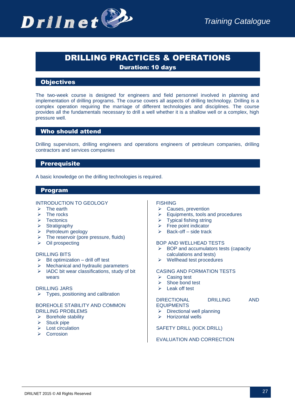

# DRILLING PRACTICES & OPERATIONS

Duration: 10 days

# **Objectives**

The two-week course is designed for engineers and field personnel involved in planning and implementation of drilling programs. The course covers all aspects of drilling technology. Drilling is a complex operation requiring the marriage of different technologies and disciplines. The course provides all the fundamentals necessary to drill a well whether it is a shallow well or a complex, high pressure well.

# Who should attend

Drilling supervisors, drilling engineers and operations engineers of petroleum companies, drilling contractors and services companies

# **Prerequisite**

A basic knowledge on the drilling technologies is required.

# Program

#### INTRODUCTION TO GEOLOGY

- $\triangleright$  The earth
- $\triangleright$  The rocks
- $\triangleright$  Tectonics
- $\triangleright$  Stratigraphy
- $\triangleright$  Petroleum geology
- $\triangleright$  The reservoir (pore pressure, fluids)
- $\triangleright$  Oil prospecting

#### DRILLING BITS

- $\geq$  Bit optimization drill off test<br>  $\geq$  Mechanical and bydraulic part
- Mechanical and hydraulic parameters
- $\triangleright$  IADC bit wear classifications, study of bit wears

#### DRILLING JARS

 $\triangleright$  Types, positioning and calibration

#### BOREHOLE STABILITY AND COMMON DRILLING PROBLEMS

- $\triangleright$  Borehole stability
- $\triangleright$  Stuck pipe
- $\triangleright$  Lost circulation
- $\triangleright$  Corrosion

# **FISHING**

- $\triangleright$  Causes, prevention
- $\triangleright$  Equipments, tools and procedures
- $\triangleright$  Typical fishing string
- $\triangleright$  Free point indicator
- $\triangleright$  Back-off side track

#### BOP AND WELLHEAD TESTS

- $\triangleright$  BOP and accumulators tests (capacity calculations and tests)
- $\triangleright$  Wellhead test procedures

#### CASING AND FORMATION TESTS

- $\triangleright$  Casing test
- $\triangleright$  Shoe bond test
- $\blacktriangleright$  Leak off test

# DIRECTIONAL DRILLING AND EQUIPMENTS

- $\triangleright$  Directional well planning
- $\triangleright$  Horizontal wells

#### SAFETY DRILL (KICK DRILL)

#### EVALUATION AND CORRECTION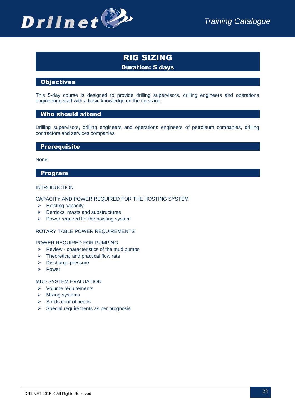

# RIG SIZING Duration: 5 days

# **Objectives**

This 5-day course is designed to provide drilling supervisors, drilling engineers and operations engineering staff with a basic knowledge on the rig sizing.

# Who should attend

Drilling supervisors, drilling engineers and operations engineers of petroleum companies, drilling contractors and services companies

# **Prerequisite**

None

#### Program

#### INTRODUCTION

#### CAPACITY AND POWER REQUIRED FOR THE HOSTING SYSTEM

- $\triangleright$  Hoisting capacity
- $\triangleright$  Derricks, masts and substructures
- $\triangleright$  Power required for the hoisting system

#### ROTARY TABLE POWER REQUIREMENTS

#### POWER REQUIRED FOR PUMPING

- $\triangleright$  Review characteristics of the mud pumps
- $\triangleright$  Theoretical and practical flow rate
- > Discharge pressure
- > Power

#### MUD SYSTEM EVALUATION

- Volume requirements
- $\triangleright$  Mixing systems
- $\triangleright$  Solids control needs
- $\triangleright$  Special requirements as per prognosis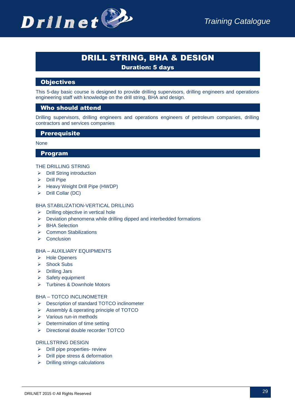

# DRILL STRING, BHA & DESIGN

Duration: 5 days

# **Objectives**

This 5-day basic course is designed to provide drilling supervisors, drilling engineers and operations engineering staff with knowledge on the drill string, BHA and design.

# Who should attend

Drilling supervisors, drilling engineers and operations engineers of petroleum companies, drilling contractors and services companies

# **Prerequisite**

#### None

#### Program

#### THE DRILLING STRING

- $\triangleright$  Drill String introduction
- $\triangleright$  Drill Pipe
- $\triangleright$  Heavy Weight Drill Pipe (HWDP)
- $\triangleright$  Drill Collar (DC)

#### BHA STABILIZATION-VERTICAL DRILLING

- $\triangleright$  Drilling objective in vertical hole
- $\triangleright$  Deviation phenomena while drilling dipped and interbedded formations
- > BHA Selection
- Common Stabilizations
- $\triangleright$  Conclusion

#### BHA – AUXILIARY EQUIPMENTS

- > Hole Openers
- **▶ Shock Subs**
- Drilling Jars
- $\triangleright$  Safety equipment
- > Turbines & Downhole Motors

#### BHA – TOTCO INCLINOMETER

- ▶ Description of standard TOTCO inclinometer
- Assembly & operating principle of TOTCO
- $\triangleright$  Various run-in methods
- $\triangleright$  Determination of time setting
- > Directional double recorder TOTCO

#### DRILLSTRING DESIGN

- $\triangleright$  Drill pipe properties- review
- $\triangleright$  Drill pipe stress & deformation
- $\triangleright$  Drilling strings calculations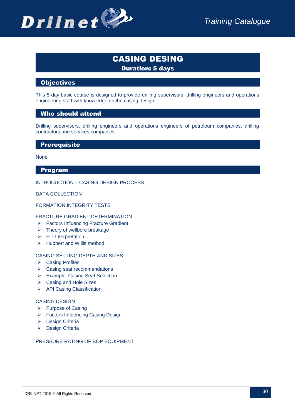

# CASING DESING Duration: 5 days

# **Objectives**

This 5-day basic course is designed to provide drilling supervisors, drilling engineers and operations engineering staff with knowledge on the casing design.

# Who should attend

Drilling supervisors, drilling engineers and operations engineers of petroleum companies, drilling contractors and services companies

# **Prerequisite**

**None** 

# Program

#### INTRODUCTION – CASING DESIGN PROCESS

DATA COLLECTION

#### FORMATION INTEGRITY TESTS

#### FRACTURE GRADIENT DETERMINATION

- Factors Influencing Fracture Gradient
- $\triangleright$  Theory of wellbore breakage
- $\triangleright$  FIT Interpretation
- $\triangleright$  Hubbert and Willis method

#### CASING SETTING DEPTH AND SIZES

- **▶ Casing Profiles**
- $\triangleright$  Casing seat recommendations
- Example: Casing Seat Selection
- ▶ Casing and Hole Sizes
- > API Casing Classification

#### CASING DESIGN

- $\triangleright$  Purpose of Casing
- ▶ Factors Influencing Casing Design
- **Design Criteria**
- > Design Criteria

#### PRESSURE RATING OF BOP EQUIPMENT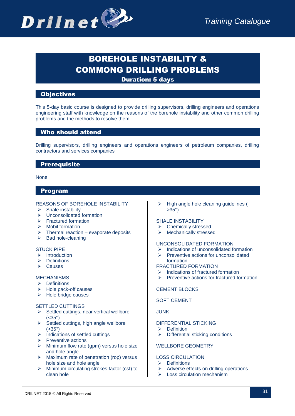

# BOREHOLE INSTABILITY & COMMONG DRILLING PROBLEMS

Duration: 5 days

# **Objectives**

This 5-day basic course is designed to provide drilling supervisors, drilling engineers and operations engineering staff with knowledge on the reasons of the borehole instability and other common drilling problems and the methods to resolve them.

# Who should attend

Drilling supervisors, drilling engineers and operations engineers of petroleum companies, drilling contractors and services companies

# **Prerequisite**

#### None

# Program

#### REASONS OF BOREHOLE INSTABILITY

- $\triangleright$  Shale instability
- $\triangleright$  Unconsolidated formation
- $\triangleright$  Fractured formation
- $\triangleright$  Mobil formation
- Thermal reaction evaporate deposits
- $\triangleright$  Bad hole-cleaning

#### STUCK PIPE

- $\triangleright$  Introduction
- $\triangleright$  Definitions
- $\triangleright$  Causes

#### MECHANISMS

- $\triangleright$  Definitions
- $\triangleright$  Hole pack-off causes
- $\triangleright$  Hole bridge causes

#### SETTLED CUTTINGS

- $\triangleright$  Settled cuttings, near vertical wellbore  $(**35°**)$
- $\triangleright$  Settled cuttings, high angle wellbore  $( > 35°)$
- $\triangleright$  Indications of settled cuttings
- $\triangleright$  Preventive actions
- $\triangleright$  Minimum flow rate (gpm) versus hole size and hole angle
- $\triangleright$  Maximum rate of penetration (rop) versus hole size and hole angle
- $\triangleright$  Minimum circulating strokes factor (csf) to clean hole

 High angle hole cleaning guidelines ( >35°)

#### SHALE INSTABILITY

- Chemically stressed
- > Mechanically stressed

#### UNCONSOLIDATED FORMATION

- Indications of unconsolidated formation
- $\triangleright$  Preventive actions for unconsolidated

#### formation

- FRACTURED FORMATION
- $\triangleright$  Indications of fractured formation
- $\triangleright$  Preventive actions for fractured formation

# CEMENT BLOCKS

#### SOFT CEMENT

#### JUNK

#### DIFFERENTIAL STICKING

- $\triangleright$  Definition
- $\triangleright$  Differential sticking conditions

# WELLBORE GEOMETRY

# LOSS CIRCULATION

- $\triangleright$  Definitions
- $\triangleright$  Adverse effects on drilling operations
- $\triangleright$  Loss circulation mechanism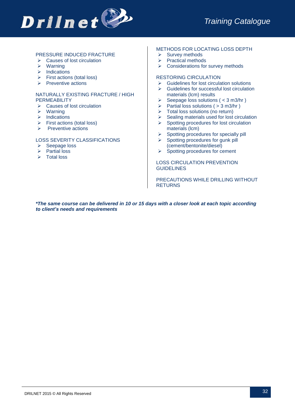

#### PRESSURE INDUCED FRACTURE

- $\triangleright$  Causes of lost circulation
- $\triangleright$  Warning
- $\triangleright$  Indications
- $\triangleright$  First actions (total loss)
- $\triangleright$  Preventive actions

#### NATURALLY EXISTING FRACTURE / HIGH **PERMEABILITY**

- $\triangleright$  Causes of lost circulation
- $\triangleright$  Warning
- $\triangleright$  Indications
- $\triangleright$  First actions (total loss)
- $\triangleright$  Preventive actions

#### LOSS SEVERITY CLASSIFICATIONS

- $\triangleright$  Seepage loss
- **▶** Partial loss
- $\triangleright$  Total loss

#### METHODS FOR LOCATING LOSS DEPTH

- $\triangleright$  Survey methods
- $\triangleright$  Practical methods
- $\triangleright$  Considerations for survey methods

#### RESTORING CIRCULATION

- $\triangleright$  Guidelines for lost circulation solutions
- $\triangleright$  Guidelines for successful lost circulation materials (lcm) results
- $\triangleright$  Seepage loss solutions ( < 3 m3/hr)
- $\triangleright$  Partial loss solutions ( > 3 m3/hr)
- $\triangleright$  Total loss solutions (no return)
- $\triangleright$  Sealing materials used for lost circulation
- $\triangleright$  Spotting procedures for lost circulation materials (lcm)
- $\triangleright$  Spotting procedures for specially pill
- $\triangleright$  Spotting procedures for gunk pill (cement/bentonite/diesel)
- $\triangleright$  Spotting procedures for cement

#### LOSS CIRCULATION PREVENTION **GUIDELINES**

PRECAUTIONS WHILE DRILLING WITHOUT **RETURNS** 

*\*The same course can be delivered in 10 or 15 days with a closer look at each topic according to client's needs and requirements*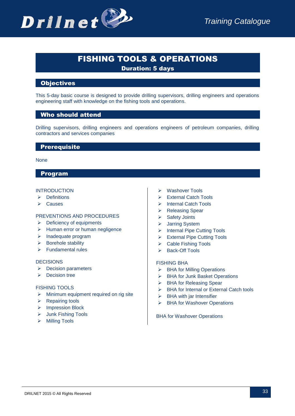

# FISHING TOOLS & OPERATIONS

Duration: 5 days

# **Objectives**

This 5-day basic course is designed to provide drilling supervisors, drilling engineers and operations engineering staff with knowledge on the fishing tools and operations.

# Who should attend

Drilling supervisors, drilling engineers and operations engineers of petroleum companies, drilling contractors and services companies

# **Prerequisite**

#### None

# Program

#### **INTRODUCTION**

- $\triangleright$  Definitions
- $\triangleright$  Causes

#### PREVENTIONS AND PROCEDURES

- $\triangleright$  Deficiency of equipments
- $\triangleright$  Human error or human negligence
- $\triangleright$  Inadequate program
- $\triangleright$  Borehole stability
- > Fundamental rules

#### **DECISIONS**

- $\triangleright$  Decision parameters
- $\triangleright$  Decision tree

#### FISHING TOOLS

- $\triangleright$  Minimum equipment required on rig site
- $\triangleright$  Repairing tools
- > Impression Block
- Junk Fishing Tools
- Milling Tools
- Washover Tools
- > External Catch Tools
- > Internal Catch Tools
- ▶ Releasing Spear
- $\triangleright$  Safety Joints
- Jarring System
- > Internal Pipe Cutting Tools
- > External Pipe Cutting Tools
- ▶ Cable Fishing Tools
- > Back-Off Tools

#### FISHING BHA

- ▶ BHA for Milling Operations
- ▶ BHA for Junk Basket Operations
- ▶ BHA for Releasing Spear
- **►** BHA for Internal or External Catch tools
- $\triangleright$  BHA with jar Intensifier
- **▶ BHA for Washover Operations**

BHA for Washover Operations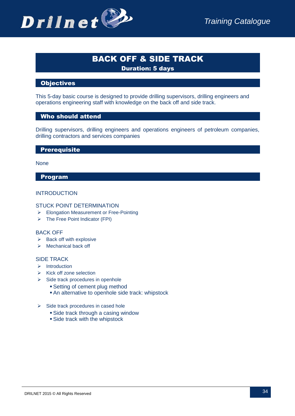# BACK OFF & SIDE TRACK Duration: 5 days

# **Objectives**

This 5-day basic course is designed to provide drilling supervisors, drilling engineers and operations engineering staff with knowledge on the back off and side track.

# Who should attend

Drilling supervisors, drilling engineers and operations engineers of petroleum companies, drilling contractors and services companies

#### **Prerequisite**

None

# Program

# **INTRODUCTION**

#### STUCK POINT DETERMINATION

- Elongation Measurement or Free-Pointing
- $\triangleright$  The Free Point Indicator (FPI)

#### BACK OFF

- $\triangleright$  Back off with explosive
- $\triangleright$  Mechanical back off

#### SIDE TRACK

- $\triangleright$  Introduction
- $\triangleright$  Kick off zone selection
- $\triangleright$  Side track procedures in openhole
	- Setting of cement plug method
	- An alternative to openhole side track: whipstock
- $\triangleright$  Side track procedures in cased hole
	- Side track through a casing window
	- Side track with the whipstock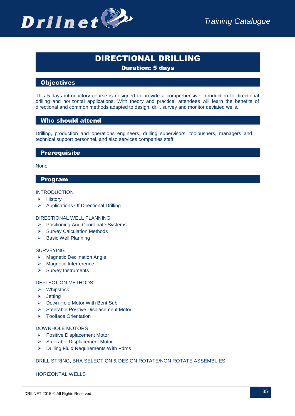

# DIRECTIONAL DRILLING

Duration: 5 days

# **Objectives**

This 5-days introductory course is designed to provide a comprehensive introduction to directional drilling and horizontal applications. With theory and practice, attendees will learn the benefits of directional and common methods adapted to design, drill, survey and monitor deviated wells.

# Who should attend

Drilling, production and operations engineers, drilling supervisors, toolpushers, managers and technical support personnel, and also services companies staff.

# **Prerequisite**

None

# Program

#### **INTRODUCTION**

- $\triangleright$  History
- > Applications Of Directional Drilling

#### DIRECTIONAL WELL PLANNING

- ▶ Positioning And Coordinate Systems
- $\triangleright$  Survey Calculation Methods
- $\triangleright$  Basic Well Planning

#### SURVEYING

- ▶ Magnetic Declination Angle
- > Magnetic Interference
- $\triangleright$  Survey Instruments

#### DEFLECTION METHODS

- Whipstock
- $\triangleright$  Jetting
- ▶ Down Hole Motor With Bent Sub
- $\triangleright$  Steerable Positive Displacement Motor
- > Toolface Orientation

#### DOWNHOLE MOTORS

- ▶ Positive Displacement Motor
- $\triangleright$  Steerable Displacement Motor
- Drilling Fluid Requirements With Pdms

# DRILL STRING, BHA SELECTION & DESIGN ROTATE/NON ROTATE ASSEMBLIES

HORIZONTAL WELLS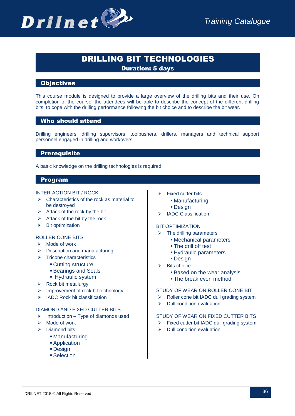

# DRILLING BIT TECHNOLOGIES

Duration: 5 days

# **Objectives**

This course module is designed to provide a large overview of the drilling bits and their use. On completion of the course, the attendees will be able to describe the concept of the different drilling bits, to cope with the drilling performance following the bit choice and to describe the bit wear.

# Who should attend

Drilling engineers, drilling supervisors, toolpushers, drillers, managers and technical support personnel engaged in drilling and workovers.

# **Prerequisite**

A basic knowledge on the drilling technologies is required.

# Program

#### INTER-ACTION BIT / ROCK

- $\triangleright$  Characteristics of the rock as material to be destroyed
- $\triangleright$  Attack of the rock by the bit
- $\triangleright$  Attack of the bit by the rock
- $\triangleright$  Bit optimization

# ROLLER CONE BITS

- $\triangleright$  Mode of work
- $\triangleright$  Description and manufacturing
- $\triangleright$  Tricone characteristics
	- Cutting structure
	- Bearings and Seals
	- **Hydraulic system**
- $\triangleright$  Rock bit metallurgy
- $\triangleright$  Improvement of rock bit technology
- $\triangleright$  IADC Rock bit classification

#### DIAMOND AND FIXED CUTTER BITS

- $\triangleright$  Introduction Type of diamonds used
- $\triangleright$  Mode of work
- $\triangleright$  Diamond bits
	- Manufacturing
	- **Application**
	- **Design**
	- Selection
- $\triangleright$  Fixed cutter bits
	- Manufacturing
	- Design
- > IADC Classification

#### BIT OPTIMIZATION

- $\triangleright$  The drilling parameters
	- Mechanical parameters
	- The drill off test
	- Hydraulic parameters
	- Design
- $\triangleright$  Bits choice
	- **Based on the wear analysis**
	- **The break even method**

#### STUDY OF WEAR ON ROLLER CONE BIT

- $\triangleright$  Roller cone bit IADC dull grading system
- $\triangleright$  Dull condition evaluation

#### STUDY OF WEAR ON FIXED CUTTER BITS

- $\triangleright$  Fixed cutter bit IADC dull grading system
- $\triangleright$  Dull condition evaluation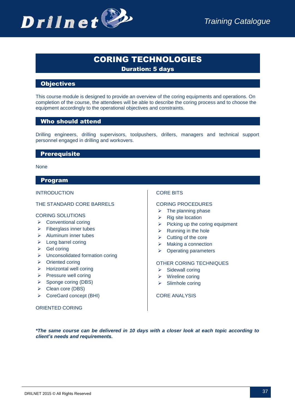# CORING TECHNOLOGIES Duration: 5 days

# **Objectives**

This course module is designed to provide an overview of the coring equipments and operations. On completion of the course, the attendees will be able to describe the coring process and to choose the equipment accordingly to the operational objectives and constraints.

# Who should attend

Drilling engineers, drilling supervisors, toolpushers, drillers, managers and technical support personnel engaged in drilling and workovers.

#### **Prerequisite**

None

#### Program

#### INTRODUCTION

#### THE STANDARD CORE BARRELS

#### CORING SOLUTIONS

- $\triangleright$  Conventional coring
- $\triangleright$  Fiberglass inner tubes
- $\triangleright$  Aluminum inner tubes
- $\triangleright$  Long barrel coring
- $\triangleright$  Gel coring
- $\triangleright$  Unconsolidated formation coring
- $\triangleright$  Oriented coring
- $\triangleright$  Horizontal well coring
- $\triangleright$  Pressure well coring
- $\triangleright$  Sponge coring (DBS)
- ▶ Clean core (DBS)
- ▶ CoreGard concept (BHI)

#### ORIENTED CORING

#### CORE BITS

#### CORING PROCEDURES

- $\triangleright$  The planning phase
- $\triangleright$  Rig site location
- $\triangleright$  Picking up the coring equipment
- $\triangleright$  Running in the hole
- $\triangleright$  Cutting of the core
- $\triangleright$  Making a connection
- $\triangleright$  Operating parameters

#### OTHER CORING TECHNIQUES

- $\triangleright$  Sidewall coring
- $\triangleright$  Wireline coring
- $\triangleright$  Slimhole coring

#### CORE ANALYSIS

*\*The same course can be delivered in 10 days with a closer look at each topic according to client's needs and requirements.*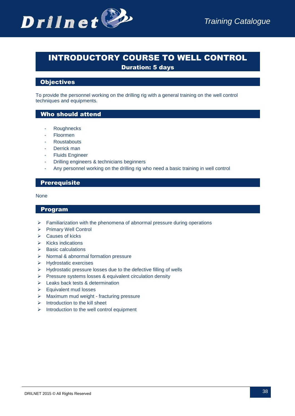

# INTRODUCTORY COURSE TO WELL CONTROL Duration: 5 days

# **Objectives**

To provide the personnel working on the drilling rig with a general training on the well control techniques and equipments.

# Who should attend

- Roughnecks
- **Floormen**
- **Roustabouts**
- Derrick man
- **Fluids Engineer**
- Drilling engineers & technicians beginners
- Any personnel working on the drilling rig who need a basic training in well control

# **Prerequisite**

#### None

- $\triangleright$  Familiarization with the phenomena of abnormal pressure during operations
- Primary Well Control
- $\triangleright$  Causes of kicks
- $\triangleright$  Kicks indications
- $\triangleright$  Basic calculations
- $\triangleright$  Normal & abnormal formation pressure
- > Hydrostatic exercises
- $\triangleright$  Hydrostatic pressure losses due to the defective filling of wells
- $\triangleright$  Pressure systems losses & equivalent circulation density
- Eeaks back tests & determination
- $\triangleright$  Equivalent mud losses
- > Maximum mud weight fracturing pressure
- $\triangleright$  Introduction to the kill sheet
- $\triangleright$  Introduction to the well control equipment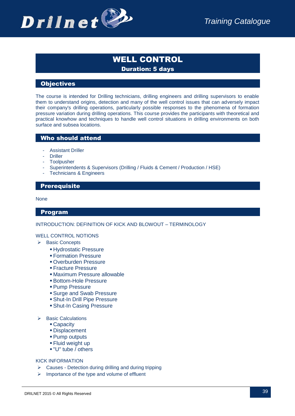

# WELL CONTROL Duration: 5 days

# **Objectives**

The course is intended for Drilling technicians, drilling engineers and drilling supervisors to enable them to understand origins, detection and many of the well control issues that can adversely impact their company's drilling operations, particularly possible responses to the phenomena of formation pressure variation during drilling operations. This course provides the participants with theoretical and practical knowhow and techniques to handle well control situations in drilling environments on both surface and subsea locations.

# Who should attend

- **Assistant Driller**
- Driller
- **Toolpusher**
- Superintendents & Supervisors (Drilling / Fluids & Cement / Production / HSE)
- Technicians & Engineers

# **Prerequisite**

#### None

#### Program

#### INTRODUCTION: DEFINITION OF KICK AND BLOWOUT – TERMINOLOGY

#### WELL CONTROL NOTIONS

- ▶ Basic Concepts
	- Hydrostatic Pressure
	- **Formation Pressure**
	- Overburden Pressure
	- **Fracture Pressure**
	- Maximum Pressure allowable
	- Bottom-Hole Pressure
	- Pump Pressure
	- Surge and Swab Pressure
	- Shut-In Drill Pipe Pressure
	- Shut-In Casing Pressure
- $\triangleright$  Basic Calculations
	- Capacity
	- Displacement
	- Pump outputs
	- Fluid weight up
	- $\blacksquare$ "U" tube / others

#### KICK INFORMATION

- $\triangleright$  Causes Detection during drilling and during tripping
- $\triangleright$  Importance of the type and volume of effluent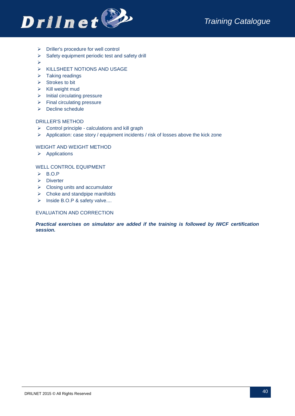

- $\triangleright$  Driller's procedure for well control
- $\triangleright$  Safety equipment periodic test and safety drill
- $\blacktriangleright$
- $\triangleright$  KILLSHEET NOTIONS AND USAGE
- $\triangleright$  Taking readings
- $\triangleright$  Strokes to bit
- $\triangleright$  Kill weight mud
- $\triangleright$  Initial circulating pressure
- $\triangleright$  Final circulating pressure
- $\triangleright$  Decline schedule

#### DRILLER'S METHOD

- $\triangleright$  Control principle calculations and kill graph
- $\triangleright$  Application: case story / equipment incidents / risk of losses above the kick zone

#### WEIGHT AND WEIGHT METHOD

 $\triangleright$  Applications

#### WELL CONTROL EQUIPMENT

- $\triangleright$  B.O.P
- $\triangleright$  Diverter
- $\triangleright$  Closing units and accumulator
- $\triangleright$  Choke and standpipe manifolds
- $\triangleright$  Inside B.O.P & safety valve....

#### EVALUATION AND CORRECTION

*Practical exercises on simulator are added if the training is followed by IWCF certification session.*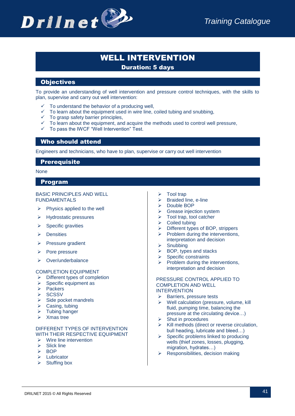

# WELL INTERVENTION

Duration: 5 days

# **Objectives**

To provide an understanding of well intervention and pressure control techniques, with the skills to plan, supervise and carry out well intervention:

- $\checkmark$  To understand the behavior of a producing well.
- $\checkmark$  To learn about the equipment used in wire line, coiled tubing and snubbing,
- $\checkmark$  To grasp safety barrier principles,
- $\checkmark$  To learn about the equipment, and acquire the methods used to control well pressure,
- $\checkmark$  To pass the IWCF "Well Intervention" Test.

# Who should attend

Engineers and technicians, who have to plan, supervise or carry out well intervention

#### **Prerequisite**

None

#### Program

#### BASIC PRINCIPLES AND WELL FUNDAMENTALS

- $\triangleright$  Physics applied to the well
- $\triangleright$  Hydrostatic pressures
- $\triangleright$  Specific gravities
- $\triangleright$  Densities
- $\triangleright$  Pressure gradient
- $\triangleright$  Pore pressure
- ▶ Over/underbalance

#### COMPLETION EQUIPMENT

- $\triangleright$  Different types of completion
- $\triangleright$  Specific equipment as
- $\triangleright$  Packers
- $\triangleright$  SCSSV
- $\triangleright$  Side pocket mandrels
- $\triangleright$  Casing, tubing
- $\triangleright$  Tubing hanger
- $\triangleright$  Xmas tree

#### DIFFERENT TYPES OF INTERVENTION WITH THEIR RESPECTIVE EQUIPMENT

- $\triangleright$  Wire line intervention
- $\triangleright$  Slick line
- $\triangleright$  BOP
- > Lubricator
- $\triangleright$  Stuffing box
- Tool trap
- $\triangleright$  Braided line, e-line
- > Double BOP
- $\triangleright$  Grease injection system
- $\triangleright$  Tool trap, tool catcher
- $\triangleright$  Coiled tubing
- > Different types of BOP, strippers  $\triangleright$  Problem during the interventions,
- interpretation and decision
- $\triangleright$  Snubbing
- $\triangleright$  BOP, types and stacks
- $\triangleright$  Specific constraints
- Problem during the interventions, interpretation and decision

#### PRESSURE CONTROL APPLIED TO COMPLETION AND WELL INTERVENTION

- $\triangleright$  Barriers, pressure tests
- $\triangleright$  Well calculation (pressure, volume, kill fluid, pumping time, balancing the pressure at the circulating device…)
- $\triangleright$  Shut in procedures
- $\triangleright$  Kill methods (direct or reverse circulation, bull heading, lubricate and bleed…)
- $\triangleright$  Specific problems linked to producing wells (thief zones, losses, plugging, migration, hydrates…)
- $\triangleright$  Responsibilities, decision making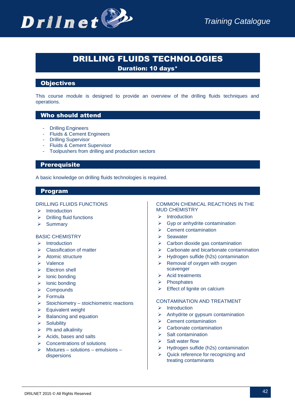

# DRILLING FLUIDS TECHNOLOGIES

Duration: 10 days\*

# **Objectives**

This course module is designed to provide an overview of the drilling fluids techniques and operations.

# Who should attend

- Drilling Engineers
- Fluids & Cement Engineers
- Drilling Supervisor
- Fluids & Cement Supervisor
- Toolpushers from drilling and production sectors

# **Prerequisite**

A basic knowledge on drilling fluids technologies is required.

# Program

#### DRILLING FLUIDS FUNCTIONS

- $\triangleright$  Introduction
- $\triangleright$  Drilling fluid functions
- $\triangleright$  Summary

#### BASIC CHEMISTRY

- $\triangleright$  Introduction
- $\triangleright$  Classification of matter
- $\triangleright$  Atomic structure
- Valence
- $\triangleright$  Electron shell
- $\triangleright$  Ionic bonding
- $\triangleright$  Ionic bonding
- $\triangleright$  Compounds
- Formula
- $\triangleright$  Stoichiometry stoichiometric reactions
- $\triangleright$  Equivalent weight
- $\triangleright$  Balancing and equation
- $\triangleright$  Solubility
- $\triangleright$  Ph and alkalinity
- $\triangleright$  Acids, bases and salts
- $\triangleright$  Concentrations of solutions
- $\triangleright$  Mixtures solutions emulsions dispersions

#### COMMON CHEMICAL REACTIONS IN THE MUD CHEMISTRY

- $\triangleright$  Introduction
- $\triangleright$  Gyp or anhydrite contamination
- $\triangleright$  Cement contamination
- $\triangleright$  Seawater
- $\triangleright$  Carbon dioxide gas contamination
- $\triangleright$  Carbonate and bicarbonate contamination
- $\triangleright$  Hydrogen sulfide (h2s) contamination
- $\triangleright$  Removal of oxygen with oxygen scavenger
- $\triangleright$  Acid treatments
- $\triangleright$  Phosphates
- $\triangleright$  Effect of lignite on calcium

#### CONTAMINATION AND TREATMENT

- $\triangleright$  Introduction
- $\triangleright$  Anhydrite or gypsum contamination
- $\triangleright$  Cement contamination
- $\triangleright$  Carbonate contamination
- $\triangleright$  Salt contamination
- $\triangleright$  Salt water flow
- $\triangleright$  Hydrogen sulfide (h2s) contamination
- $\triangleright$  Quick reference for recognizing and treating contaminants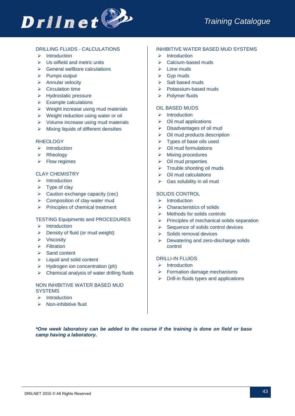

#### DRILLING FLUIDS - CALCULATIONS

- $\triangleright$  Introduction
- $\triangleright$  Us oilfield and metric units
- $\triangleright$  General wellbore calculations
- $\triangleright$  Pumps output
- $\triangleright$  Annular velocity
- $\triangleright$  Circulation time
- > Hydrostatic pressure
- $\triangleright$  Example calculations
- $\triangleright$  Weight increase using mud materials
- $\triangleright$  Weight reduction using water or oil
- $\triangleright$  Volume increase using mud materials
- $\triangleright$  Mixing liquids of different densities

#### **RHEOLOGY**

- $\triangleright$  Introduction
- $\triangleright$  Rheology
- $\triangleright$  Flow regimes

#### CLAY CHEMISTRY

- $\triangleright$  Introduction
- $\triangleright$  Type of clay
- $\triangleright$  Caution exchange capacity (cec)
- $\triangleright$  Composition of clay-water mud
- $\triangleright$  Principles of chemical treatment

#### TESTING Equipments and PROCEDURES

- $\triangleright$  Introduction
- $\triangleright$  Density of fluid (or mud weight)
- $\triangleright$  Viscosity
- $\triangleright$  Filtration
- $\triangleright$  Sand content
- $\triangleright$  Liquid and solid content
- $\triangleright$  Hydrogen ion concentration (ph)
- $\triangleright$  Chemical analysis of water drilling fluids

#### NON INHIBITIVE WATER BASED MUD **SYSTEMS**

- $\triangleright$  Introduction
- $\triangleright$  Non-inhibitive fluid

#### INHIBITIVE WATER BASED MUD SYSTEMS

- $\triangleright$  Introduction
- $\triangleright$  Calcium-based muds
- $\triangleright$  Lime muds
- $\triangleright$  Gyp muds
- $\triangleright$  Salt based muds
- $\triangleright$  Potassium-based muds
- $\triangleright$  Polymer fluids

#### OIL BASED MUDS

- $\triangleright$  Introduction
- $\triangleright$  Oil mud applications
- Disadvantages of oil mud
- $\triangleright$  Oil mud products description
- $\triangleright$  Types of base oils used
- $\triangleright$  Oil mud formulations
- $\triangleright$  Mixing procedures
- $\triangleright$  Oil mud properties
- $\triangleright$  Trouble shooting oil muds
- $\triangleright$  Oil mud calculations
- $\triangleright$  Gas solubility in oil mud

#### SOLIDS CONTROL

- $\triangleright$  Introduction
- Characteristics of solids
- $\triangleright$  Methods for solids controls
- $\triangleright$  Principles of mechanical solids separation
- $\triangleright$  Sequence of solids control devices
- $\triangleright$  Solids removal devices
- $\triangleright$  Dewatering and zero-discharge solids control

#### DRILLI-IN FLUIDS

- $\triangleright$  Introduction
- $\triangleright$  Formation damage mechanisms
- $\triangleright$  Drill-in fluids types and applications

*\*One week laboratory can be added to the course if the training is done on field or base camp having a laboratory.*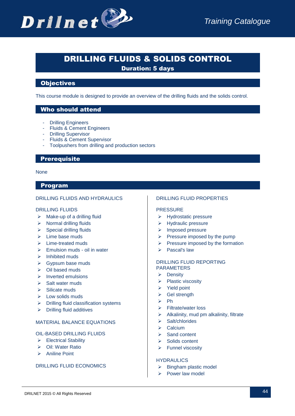# DRILLING FLUIDS & SOLIDS CONTROL

Duration: 5 days

# **Objectives**

This course module is designed to provide an overview of the drilling fluids and the solids control.

# Who should attend

- Drilling Engineers
- Fluids & Cement Engineers
- Drilling Supervisor
- Fluids & Cement Supervisor
- Toolpushers from drilling and production sectors

#### **Prerequisite**

#### None

# Program

#### DRILLING FLUIDS AND HYDRAULICS

#### DRILLING FLUIDS

- $\triangleright$  Make-up of a drilling fluid
- $\triangleright$  Normal drilling fluids
- $\triangleright$  Special drilling fluids
- $\triangleright$  Lime base muds
- $\triangleright$  Lime-treated muds
- $\triangleright$  Emulsion muds oil in water
- $\triangleright$  Inhibited muds
- Sypsum base muds
- $\triangleright$  Oil based muds
- $\triangleright$  Inverted emulsions
- $\triangleright$  Salt water muds
- $\triangleright$  Silicate muds
- $\triangleright$  Low solids muds
- $\triangleright$  Drilling fluid classification systems
- $\triangleright$  Drilling fluid additives

#### MATERIAL BALANCE EQUATIONS

#### OIL-BASED DRILLING FLUIDS

- Electrical Stability
- Oil: Water Ratio
- > Aniline Point

#### DRILLING FLUID ECONOMICS

#### DRILLING FLUID PROPERTIES

#### PRESSURE

- > Hydrostatic pressure
- $\triangleright$  Hydraulic pressure
- > Imposed pressure
- $\triangleright$  Pressure imposed by the pump
- $\triangleright$  Pressure imposed by the formation
- $\triangleright$  Pascal's law

#### DRILLING FLUID REPORTING PARAMETERS

- $\triangleright$  Density
- $\triangleright$  Plastic viscosity
- $\triangleright$  Yield point
- $\triangleright$  Gel strength
- $\triangleright$  Ph
- Filtrate/water loss
- $\triangleright$  Alkalinity, mud pm alkalinity, filtrate
- $\triangleright$  Salt/chlorides
- $\triangleright$  Calcium
- $\triangleright$  Sand content
- $\triangleright$  Solids content
- $\triangleright$  Funnel viscosity

#### HYDRAULICS

- $\triangleright$  Bingham plastic model
- $\triangleright$  Power law model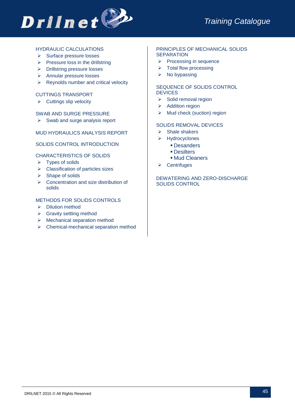

#### HYDRAULIC CALCULATIONS

- $\triangleright$  Surface pressure losses
- $\triangleright$  Pressure loss in the drillstring
- Drillstring pressure losses
- **▶ Annular pressure losses**
- $\triangleright$  Reynolds number and critical velocity

#### CUTTINGS TRANSPORT

 $\triangleright$  Cuttings slip velocity

#### SWAB AND SURGE PRESSURE

 $\triangleright$  Swab and surge analysis report

#### MUD HYDRAULICS ANALYSIS REPORT

#### SOLIDS CONTROL INTRODUCTION

#### CHARACTERISTICS OF SOLIDS

- $\triangleright$  Types of solids
- > Classification of particles sizes
- $\triangleright$  Shape of solids
- $\triangleright$  Concentration and size distribution of solids

#### METHODS FOR SOLIDS CONTROLS

- $\triangleright$  Dilution method
- $\triangleright$  Gravity settling method
- $\triangleright$  Mechanical separation method
- $\triangleright$  Chemical-mechanical separation method

#### PRINCIPLES OF MECHANICAL SOLIDS **SEPARATION**

- $\triangleright$  Processing in sequence
- $\triangleright$  Total flow processing
- $\triangleright$  No bypassing

#### SEQUENCE OF SOLIDS CONTROL **DEVICES**

- $\triangleright$  Solid removal region
- $\triangleright$  Addition region
- $\triangleright$  Mud check (suction) region

#### SOLIDS REMOVAL DEVICES

- $\triangleright$  Shale shakers
- Hydrocyclones
	- **Desanders**
	- **Desilters**
	- Mud Cleaners
- $\triangleright$  Centrifuges

#### DEWATERING AND ZERO-DISCHARGE SOLIDS CONTROL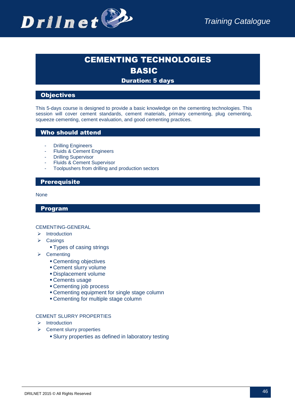

# CEMENTING TECHNOLOGIES BASIC

# Duration: 5 days

# **Objectives**

This 5-days course is designed to provide a basic knowledge on the cementing technologies. This session will cover cement standards, cement materials, primary cementing, plug cementing, squeeze cementing, cement evaluation, and good cementing practices.

#### Who should attend

- **Drilling Engineers**
- **Fluids & Cement Engineers**
- Drilling Supervisor
- Fluids & Cement Supervisor
- Toolpushers from drilling and production sectors

# **Prerequisite**

#### None

Program

#### CEMENTING-GENERAL

- $\triangleright$  Introduction
- $\triangleright$  Casings
	- Types of casing strings
- $\triangleright$  Cementing
	- Cementing objectives
	- Cement slurry volume
	- **Displacement volume**
	- Cements usage
	- Cementing job process
	- Cementing equipment for single stage column
	- Cementing for multiple stage column

#### CEMENT SLURRY PROPERTIES

- $\triangleright$  Introduction
- $\triangleright$  Cement slurry properties
	- Slurry properties as defined in laboratory testing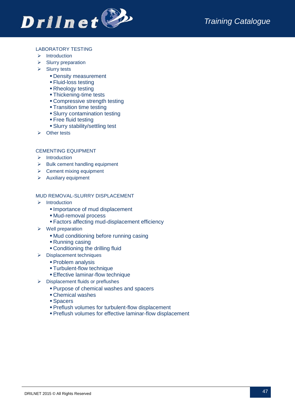

#### LABORATORY TESTING

- $\triangleright$  Introduction
- $\triangleright$  Slurry preparation
- $\triangleright$  Slurry tests
	- **Density measurement**
	- **Fluid-loss testing**
	- Rheology testing
	- **Thickening-time tests**
	- Compressive strength testing
	- **Transition time testing**
	- Slurry contamination testing
	- **Free fluid testing**
	- Slurry stability/settling test
- $\triangleright$  Other tests

#### CEMENTING EQUIPMENT

- $\triangleright$  Introduction
- $\triangleright$  Bulk cement handling equipment
- $\triangleright$  Cement mixing equipment
- $\triangleright$  Auxiliary equipment

#### MUD REMOVAL-SLURRY DISPLACEMENT

- $\triangleright$  Introduction
	- Importance of mud displacement
	- Mud-removal process
	- Factors affecting mud-displacement efficiency
- $\triangleright$  Well preparation
	- Mud conditioning before running casing
	- Running casing
	- Conditioning the drilling fluid
- $\triangleright$  Displacement techniques
	- **Problem analysis**
	- Turbulent-flow technique
	- **Effective laminar-flow technique**
- $\triangleright$  Displacement fluids or preflushes
	- Purpose of chemical washes and spacers
	- Chemical washes
	- Spacers
	- **Preflush volumes for turbulent-flow displacement**
	- Preflush volumes for effective laminar-flow displacement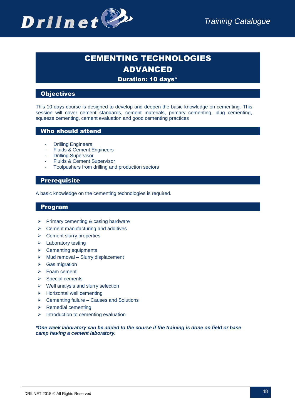

# CEMENTING TECHNOLOGIES ADVANCED

# Duration: 10 days\*

# **Objectives**

This 10-days course is designed to develop and deepen the basic knowledge on cementing. This session will cover cement standards, cement materials, primary cementing, plug cementing, squeeze cementing, cement evaluation and good cementing practices

#### Who should attend

- **Drilling Engineers**
- Fluids & Cement Engineers
- Drilling Supervisor
- Fluids & Cement Supervisor
- Toolpushers from drilling and production sectors

# **Prerequisite**

A basic knowledge on the cementing technologies is required.

#### Program

- $\triangleright$  Primary cementing & casing hardware
- $\triangleright$  Cement manufacturing and additives
- $\triangleright$  Cement slurry properties
- $\triangleright$  Laboratory testing
- $\triangleright$  Cementing equipments
- $\triangleright$  Mud removal Slurry displacement
- $\triangleright$  Gas migration
- > Foam cement
- $\triangleright$  Special cements
- $\triangleright$  Well analysis and slurry selection
- $\triangleright$  Horizontal well cementing
- $\triangleright$  Cementing failure Causes and Solutions
- $\triangleright$  Remedial cementing
- $\triangleright$  Introduction to cementing evaluation

*\*One week laboratory can be added to the course if the training is done on field or base camp having a cement laboratory.*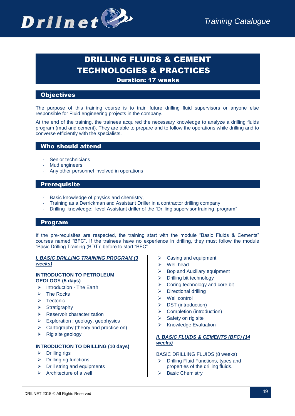

# DRILLING FLUIDS & CEMENT TECHNOLOGIES & PRACTICES

Duration: 17 weeks

# **Objectives**

The purpose of this training course is to train future drilling fluid supervisors or anyone else responsible for Fluid engineering projects in the company.

At the end of the training, the trainees acquired the necessary knowledge to analyze a drilling fluids program (mud and cement). They are able to prepare and to follow the operations while drilling and to converse efficiently with the specialists.

# Who should attend

- Senior technicians
- Mud engineers
- Any other personnel involved in operations

#### **Prerequisite**

- Basic knowledge of physics and chemistry,
- Training as a Derrickman and Assistant Driller in a contractor drilling company
- Drilling knowledge: level Assistant driller of the "Drilling supervisor training program"

#### Program

If the pre-requisites are respected, the training start with the module "Basic Fluids & Cements" courses named "BFC". If the trainees have no experience in drilling, they must follow the module "Basic Drilling Training (BDT)" before to start "BFC".

#### *I. BASIC DRILLING TRAINING PROGRAM (3 weeks)*

#### **INTRODUCTION TO PETROLEUM GEOLOGY (5 days)**

- $\triangleright$  Introduction The Earth
- $\triangleright$  The Rocks
- $\triangleright$  Tectonic
- $\triangleright$  Stratigraphy
- $\triangleright$  Reservoir characterization
- $\triangleright$  Exploration : geology, geophysics
- $\triangleright$  Cartography (theory and practice on)
- $\triangleright$  Rig site geology

#### **INTRODUCTION TO DRILLING (10 days)**

- $\triangleright$  Drilling rigs
- $\triangleright$  Drilling rig functions
- $\triangleright$  Drill string and equipments
- $\triangleright$  Architecture of a well
- $\triangleright$  Casing and equipment
- $\triangleright$  Well head
- $\triangleright$  Bop and Auxiliary equipment
- $\triangleright$  Drilling bit technology
- $\triangleright$  Coring technology and core bit
- $\triangleright$  Directional drilling
- $\triangleright$  Well control
- $\triangleright$  DST (introduction)
- $\triangleright$  Completion (introduction)
- $\triangleright$  Safety on rig site
- $\triangleright$  Knowledge Evaluation

#### *II. BASIC FLUIDS & CEMENTS (BFC) (14 weeks)*

#### BASIC DRILLING FLUIDS (8 weeks)

- $\triangleright$  Drilling Fluid Functions, types and properties of the drilling fluids.
- $\triangleright$  Basic Chemistry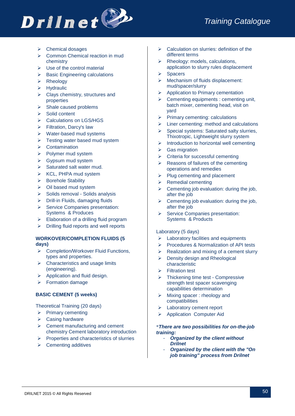# **Drilnet**

- **▶** Chemical dosages
- $\triangleright$  Common Chemical reaction in mud chemistry
- $\triangleright$  Use of the control material
- $\triangleright$  Basic Engineering calculations
- $\triangleright$  Rheology
- $\triangleright$  Hydraulic
- $\triangleright$  Clays chemistry, structures and properties
- $\triangleright$  Shale caused problems
- $\triangleright$  Solid content
- ▶ Calculations on LGS/HGS
- Filtration, Darcy's law
- Water-based mud systems
- $\triangleright$  Testing water based mud system
- $\triangleright$  Contamination
- $\triangleright$  Polymer mud system
- $\triangleright$  Gypsum mud system
- $\triangleright$  Saturated salt water mud.
- $\triangleright$  KCL, PHPA mud system
- > Borehole Stability
- $\triangleright$  Oil based mud system
- $\triangleright$  Solids removal Solids analysis
- $\triangleright$  Drill-in Fluids, damaging fluids
- $\triangleright$  Service Companies presentation: Systems & Produces
- $\triangleright$  Elaboration of a drilling fluid program
- $\triangleright$  Drilling fluid reports and well reports

# **WORKOVER/COMPLETION FLUIDS (5 days)**

- ▶ Completion/Workover Fluid Functions, types and properties.
- $\triangleright$  Characteristics and usage limits (engineering).
- $\triangleright$  Application and fluid design.
- Formation damage

#### **BASIC CEMENT (5 weeks)**

Theoretical Training (20 days)

- $\triangleright$  Primary cementing
- **▶ Casing hardware**
- $\triangleright$  Cement manufacturing and cement chemistry Cement laboratory introduction
- $\triangleright$  Properties and characteristics of slurries
- $\triangleright$  Cementing additives
- $\triangleright$  Calculation on slurries: definition of the different terms
- $\triangleright$  Rheology: models, calculations, application to slurry rules displacement
- $\triangleright$  Spacers
- $\triangleright$  Mechanism of fluids displacement: mud/spacer/slurry
- $\triangleright$  Application to Primary cementation
- $\triangleright$  Cementing equipments : cementing unit, batch mixer, cementing head, visit on yard
- $\triangleright$  Primary cementing: calculations
- $\triangleright$  Liner cementing: method and calculations
- $\triangleright$  Special systems: Saturated salty slurries, Thixotropic, Lightweight slurry system
- $\triangleright$  Introduction to horizontal well cementing
- $\triangleright$  Gas migration
- $\triangleright$  Criteria for successful cementing
- $\triangleright$  Reasons of failures of the cementing operations and remedies
- $\triangleright$  Plug cementing and placement
- $\triangleright$  Remedial cementing
- $\triangleright$  Cementing job evaluation: during the job, after the job
- $\triangleright$  Cementing job evaluation: during the job, after the job
- Service Companies presentation: Systems & Products

#### Laboratory (5 days)

- Laboratory facilities and equipments
- $\triangleright$  Procedures & Normalization of API tests
- $\triangleright$  Realization and mixing of a cement slurry
- $\triangleright$  Density design and Rheological characteristic
- Filtration test
- Thickening time test Compressive strength test spacer scavenging capabilities determination
- $\triangleright$  Mixing spacer : rheology and compatibilities
- Laboratory cement report
- > Application Computer Aid

#### \**There are two possibilities for on-the-job training:*

- *Organized by the client without Drilnet*
- *Organized by the client with the "On job training" process from Drilnet*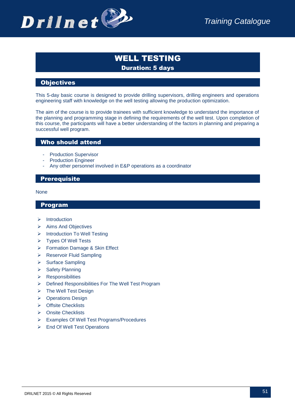

# WELL TESTING Duration: 5 days

# **Objectives**

This 5-day basic course is designed to provide drilling supervisors, drilling engineers and operations engineering staff with knowledge on the well testing allowing the production optimization.

The aim of the course is to provide trainees with sufficient knowledge to understand the importance of the planning and programming stage in defining the requirements of the well test. Upon completion of this course, the participants will have a better understanding of the factors in planning and preparing a successful well program.

#### Who should attend

- Production Supervisor
- Production Engineer
- Any other personnel involved in E&P operations as a coordinator

# **Prerequisite**

None

- $\triangleright$  Introduction
- $\triangleright$  Aims And Objectives
- > Introduction To Well Testing
- Types Of Well Tests
- Formation Damage & Skin Effect
- ▶ Reservoir Fluid Sampling
- $\triangleright$  Surface Sampling
- $\triangleright$  Safety Planning
- $\triangleright$  Responsibilities
- $\triangleright$  Defined Responsibilities For The Well Test Program
- $\triangleright$  The Well Test Design
- ▶ Operations Design
- > Offsite Checklists
- **▶ Onsite Checklists**
- Examples Of Well Test Programs/Procedures
- End Of Well Test Operations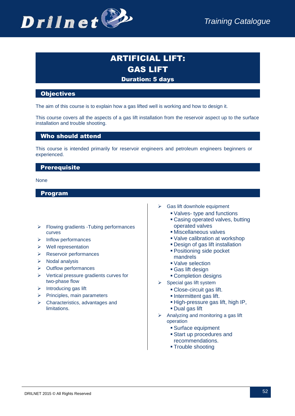

# ARTIFICIAL LIFT: GAS LIFT Duration: 5 days

### **Objectives**

The aim of this course is to explain how a gas lifted well is working and how to design it.

This course covers all the aspects of a gas lift installation from the reservoir aspect up to the surface installation and trouble shooting.

#### Who should attend

This course is intended primarily for reservoir engineers and petroleum engineers beginners or experienced.

# **Prerequisite**

None

- $\triangleright$  Flowing gradients -Tubing performances curves
- $\triangleright$  Inflow performances
- Well representation
- Reservoir performances
- $\triangleright$  Nodal analysis
- $\triangleright$  Outflow performances
- $\triangleright$  Vertical pressure gradients curves for two-phase flow
- $\triangleright$  Introducing gas lift
- $\triangleright$  Principles, main parameters
- $\triangleright$  Characteristics, advantages and **limitations**
- $\triangleright$  Gas lift downhole equipment
	- Valves- type and functions
	- Casing operated valves, butting operated valves
	- Miscellaneous valves
	- Valve calibration at workshop
	- Design of gas lift installation
	- Positioning side pocket mandrels
	- Valve selection
	- Gas lift design
	- Completion designs
- $\triangleright$  Special gas lift system
	- Close-circuit gas lift.
	- **Intermittent gas lift.**
	- High-pressure gas lift, high IP,
	- Dual gas lift
- $\triangleright$  Analyzing and monitoring a gas lift operation
	- Surface equipment
	- Start up procedures and recommendations.
	- **Trouble shooting**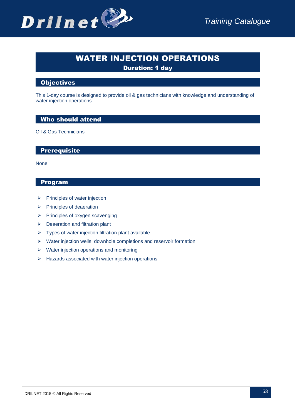# WATER INJECTION OPERATIONS

Duration: 1 day

# **Objectives**

This 1-day course is designed to provide oil & gas technicians with knowledge and understanding of water injection operations.

# Who should attend

Oil & Gas Technicians

# **Prerequisite**

None

- $\triangleright$  Principles of water injection
- $\triangleright$  Principles of deaeration
- $\triangleright$  Principles of oxygen scavenging
- $\triangleright$  Deaeration and filtration plant
- $\triangleright$  Types of water injection filtration plant available
- $\triangleright$  Water injection wells, downhole completions and reservoir formation
- $\triangleright$  Water injection operations and monitoring
- $\triangleright$  Hazards associated with water injection operations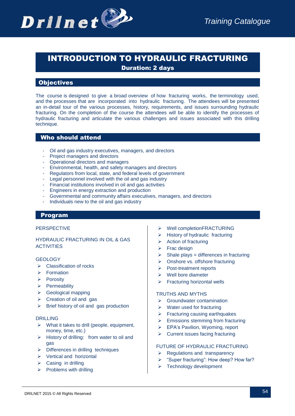

# INTRODUCTION TO HYDRAULIC FRACTURING Duration: 2 days

**Objectives** 

The course is designed to give a broad overview of how fracturing works, the terminology used, and the processes that are incorporated into hydraulic fracturing. The attendees will be presented an in-detail tour of the various processes, history, requirements, and issues surrounding hydraulic fracturing. On the completion of the course the attendees will be able to identify the processes of hydraulic fracturing and articulate the various challenges and issues associated with this drilling technique.

# Who should attend

- Oil and gas industry executives, managers, and directors
- Project managers and directors
- Operational directors and managers
- Environmental, health, and safety managers and directors
- Regulators from local, state, and federal levels of government
- Legal personnel involved with the oil and gas industry
- Financial institutions involved in oil and gas activities
- Engineers in energy extraction and production
- Governmental and community affairs executives, managers, and directors
- Individuals new to the oil and gas industry

#### Program

#### PERSPECTIVE

#### HYDRAULIC FRACTURING IN OIL & GAS **ACTIVITIES**

#### **GEOLOGY**

- $\triangleright$  Classification of rocks
- Formation
- $\triangleright$  Porosity
- $\triangleright$  Permeability
- $\triangleright$  Geological mapping
- $\triangleright$  Creation of oil and gas
- $\triangleright$  Brief history of oil and gas production

#### DRILLING

- $\triangleright$  What it takes to drill (people, equipment, money, time, etc.)
- $\triangleright$  History of drilling: from water to oil and gas
- $\triangleright$  Differences in drilling techniques
- $\triangleright$  Vertical and horizontal
- $\triangleright$  Casing in drilling
- $\triangleright$  Problems with drilling
- Well completionFRACTURING
- $\triangleright$  History of hydraulic fracturing
- $\triangleright$  Action of fracturing
- $\triangleright$  Frac design
- Shale plays = differences in fracturing
- $\triangleright$  Onshore vs. offshore fracturing
- > Post-treatment reports
- $\triangleright$  Well bore diameter
- Fracturing horizontal wells

#### TRUTHS AND MYTHS

- $\triangleright$  Groundwater contamination
- $\triangleright$  Water used for fracturing
- $\triangleright$  Fracturing causing earthquakes
- $\triangleright$  Emissions stemming from fracturing
- **EPA's Pavilion, Wyoming, report**
- $\triangleright$  Current issues facing fracturing

#### FUTURE OF HYDRAULIC FRACTURING

- $\triangleright$  Regulations and transparency
- > "Super fracturing": How deep? How far?
- $\triangleright$  Technology development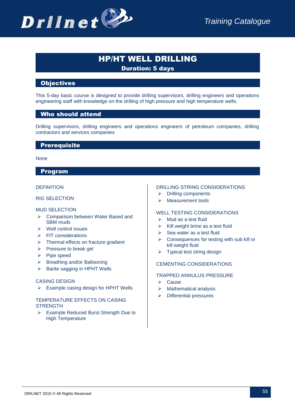

# HP/HT WELL DRILLING Duration: 5 days

# **Objectives**

This 5-day basic course is designed to provide drilling supervisors, drilling engineers and operations engineering staff with knowledge on the drilling of high pressure and high temperature wells.

#### Who should attend

Drilling supervisors, drilling engineers and operations engineers of petroleum companies, drilling contractors and services companies

# **Prerequisite**

#### None

#### Program

#### **DEFINITION**

#### RIG SELECTION

#### MUD SELECTION

- **►** Comparison between Water Based and SBM muds
- $\triangleright$  Well control issues
- $\triangleright$  FIT considerations
- $\triangleright$  Thermal effects on fracture gradient
- $\triangleright$  Pressure to break gel
- $\triangleright$  Pipe speed
- $\triangleright$  Breathing and/or Ballooning
- $\triangleright$  Barite sagging in HPHT Wells

#### CASING DESIGN

 $\triangleright$  Example casing design for HPHT Wells

#### TEMPERATURE EFFECTS ON CASING **STRENGTH**

 Example Reduced Burst Strength Due to High Temperature

#### DRILLING STRING CONSIDERATIONS

- Drilling components
- > Measurement tools

#### WELL TESTING CONSIDERATIONS

- $\triangleright$  Mud as a test fluid
- $\triangleright$  Kill weight brine as a test fluid
- $\triangleright$  Sea water as a test fluid
- $\triangleright$  Consequences for testing with sub kill or kill weight fluid
- $\triangleright$  Typical test string design

#### CEMENTING CONSIDERATIONS

#### TRAPPED ANNULUS PRESSURE

- **▶ Cause**
- $\triangleright$  Mathematical analysis
- $\triangleright$  Differential pressures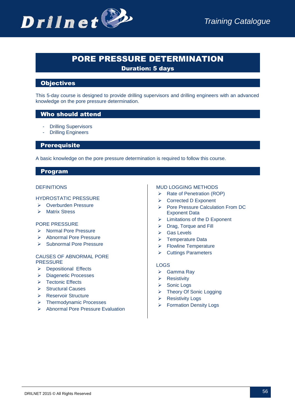

# PORE PRESSURE DETERMINATION

Duration: 5 days

# **Objectives**

This 5-day course is designed to provide drilling supervisors and drilling engineers with an advanced knowledge on the pore pressure determination.

# Who should attend

- **Drilling Supervisors**
- **Drilling Engineers**

**Prerequisite** 

A basic knowledge on the pore pressure determination is required to follow this course.

# Program

#### **DEFINITIONS**

#### HYDROSTATIC PRESSURE

- ▶ Overburden Pressure
- > Matrix Stress

#### PORE PRESSURE

- > Normal Pore Pressure
- > Abnormal Pore Pressure
- $\triangleright$  Subnormal Pore Pressure

#### CAUSES OF ABNORMAL PORE PRESSURE

- ▶ Depositional Effects
- **▶** Diagenetic Processes
- > Tectonic Effects
- **▶ Structural Causes**
- ▶ Reservoir Structure
- > Thermodynamic Processes
- Abnormal Pore Pressure Evaluation

#### MUD LOGGING METHODS

- $\triangleright$  Rate of Penetration (ROP)
- **▶ Corrected D Exponent**
- Pore Pressure Calculation From DC Exponent Data
- $\triangleright$  Limitations of the D Exponent
- ▶ Drag, Torque and Fill
- **▶ Gas Levels**
- $\triangleright$  Temperature Data
- $\triangleright$  Flowline Temperature
- **▶ Cuttings Parameters**

#### LOGS

- Gamma Ray
- $\triangleright$  Resistivity
- $\triangleright$  Sonic Logs
- > Theory Of Sonic Logging
- **▶ Resistivity Logs**
- **▶ Formation Density Logs**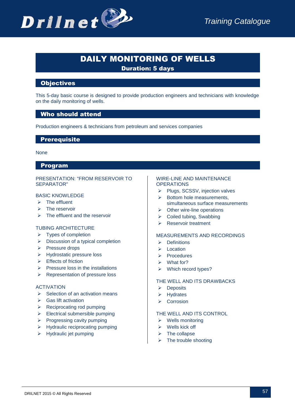# DAILY MONITORING OF WELLS

Duration: 5 days

# **Objectives**

This 5-day basic course is designed to provide production engineers and technicians with knowledge on the daily monitoring of wells.

# Who should attend

Production engineers & technicians from petroleum and services companies

# **Prerequisite**

None

# Program

#### PRESENTATION: "FROM RESERVOIR TO SEPARATOR"

#### BASIC KNOWLEDGE

- $\triangleright$  The effluent
- $\triangleright$  The reservoir
- $\triangleright$  The effluent and the reservoir

#### TUBING ARCHITECTURE

- $\triangleright$  Types of completion
- $\triangleright$  Discussion of a typical completion
- $\triangleright$  Pressure drops
- > Hydrostatic pressure loss
- $\triangleright$  Effects of friction
- $\triangleright$  Pressure loss in the installations
- $\triangleright$  Representation of pressure loss

#### **ACTIVATION**

- $\triangleright$  Selection of an activation means
- $\triangleright$  Gas lift activation
- $\triangleright$  Reciprocating rod pumping
- $\triangleright$  Electrical submersible pumping
- $\triangleright$  Progressing cavity pumping
- $\triangleright$  Hydraulic reciprocating pumping
- $\triangleright$  Hydraulic jet pumping

#### WIRE-LINE AND MAINTENANCE **OPERATIONS**

- $\triangleright$  Plugs, SCSSV, injection valves
- $\triangleright$  Bottom hole measurements, simultaneous surface measurements
- $\triangleright$  Other wire-line operations
- $\triangleright$  Coiled tubing, Swabbing
- Reservoir treatment

#### MEASUREMENTS AND RECORDINGS

- $\triangleright$  Definitions
- $\triangleright$  Location
- **>** Procedures
- $\triangleright$  What for?
- ▶ Which record types?

#### THE WELL AND ITS DRAWBACKS

- $\triangleright$  Deposits
- $\triangleright$  Hydrates
- $\triangleright$  Corrosion

#### THE WELL AND ITS CONTROL

- $\triangleright$  Wells monitoring
- $\triangleright$  Wells kick off
- $\triangleright$  The collapse
- $\triangleright$  The trouble shooting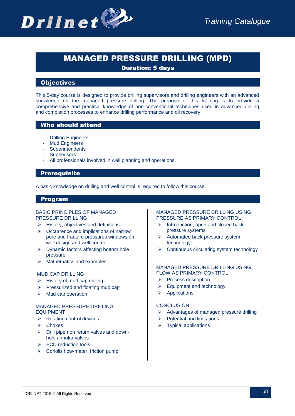

# MANAGED PRESSURE DRILLING (MPD)

Duration: 5 days

# **Objectives**

This 5-day course is designed to provide drilling supervisors and drilling engineers with an advanced knowledge on the managed pressure drilling. The purpose of this training is to provide a comprehensive and practical knowledge of non-conventional techniques used in advanced drilling and completion processes to enhance drilling performance and oil recovery

# Who should attend

- **Drilling Engineers**
- Mud Engineers
- Superintendents
- **Supervisors**
- All professionals involved in well planning and operations

# **Prerequisite**

A basic knowledge on drilling and well control is required to follow this course.

#### Program

#### BASIC PRINCIPLES OF MANAGED PRESSURE DRILLING

- $\triangleright$  History, objectives and definitions
- $\triangleright$  Occurrence and implications of narrow pore and fracture pressures windows on well design and well control
- $\triangleright$  Dynamic factors affecting bottom hole pressure
- $\triangleright$  Mathematics and examples

#### MUD CAP DRILLING

- $\triangleright$  History of mud cap drilling
- $\triangleright$  Pressurized and floating mud cap
- $\triangleright$  Mud cap operation

#### MANAGED PRESSURE DRILLING EQUIPMENT

- $\triangleright$  Rotating control devices
- $\triangleright$  Chokes
- $\triangleright$  Drill pipe non return valves and downhole annular valves
- $\triangleright$  ECD reduction tools
- $\triangleright$  Coriolis flow-meter, friction pump

#### MANAGED PRESSURE DRILLING USING PRESSURE AS PRIMARY CONTROL

- $\triangleright$  Introduction, open and closed back pressure systems
- $\triangleright$  Automated back pressure system technology
- $\triangleright$  Continuous circulating system technology

#### MANAGED PRESSURE DRILLING USING FLOW AS PRIMARY CONTROL

- $\triangleright$  Process description
- $\triangleright$  Equipment and technology
- $\triangleright$  Applications

#### **CONCLUSION**

- $\triangleright$  Advantages of managed pressure drilling
- Potential and limitations
- $\triangleright$  Typical applications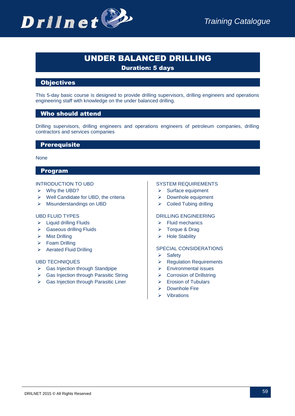

# UNDER BALANCED DRILLING

Duration: 5 days

# **Objectives**

This 5-day basic course is designed to provide drilling supervisors, drilling engineers and operations engineering staff with knowledge on the under balanced drilling.

# Who should attend

Drilling supervisors, drilling engineers and operations engineers of petroleum companies, drilling contractors and services companies

#### **Prerequisite**

#### None

# Program

#### INTRODUCTION TO UBD

- $\triangleright$  Why the UBD?
- $\triangleright$  Well Candidate for UBD, the criteria
- $\triangleright$  Misunderstandings on UBD

#### UBD FLUID TYPES

- $\triangleright$  Liquid drilling Fluids
- Gaseous drilling Fluids
- $\triangleright$  Mist Drilling
- $\triangleright$  Foam Drilling
- $\triangleright$  Aerated Fluid Drilling

#### UBD TECHNIQUES

- $\triangleright$  Gas Injection through Standpipe
- Gas Injection through Parasitic String
- $\triangleright$  Gas Injection through Parasitic Liner

#### SYSTEM REQUIREMENTS

- $\triangleright$  Surface equipment
- > Downhole equipment
- ▶ Coiled Tubing drilling

#### DRILLING ENGINEERING

- $\triangleright$  Fluid mechanics
- $\triangleright$  Torque & Drag
- $\triangleright$  Hole Stability

#### SPECIAL CONSIDERATIONS

- $\triangleright$  Safety
- $\triangleright$  Regulation Requirements
- Environmental issues
- ▶ Corrosion of Drillstring
- Erosion of Tubulars
- $\triangleright$  Downhole Fire
- $\triangleright$  Vibrations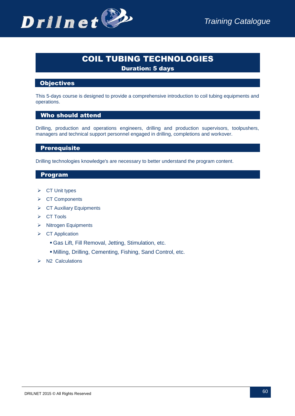# COIL TUBING TECHNOLOGIES

Duration: 5 days

# **Objectives**

This 5-days course is designed to provide a comprehensive introduction to coil tubing equipments and operations.

# Who should attend

Drilling, production and operations engineers, drilling and production supervisors, toolpushers, managers and technical support personnel engaged in drilling, completions and workover.

# **Prerequisite**

Drilling technologies knowledge's are necessary to better understand the program content.

- $\triangleright$  CT Unit types
- **▶ CT Components**
- $\triangleright$  CT Auxiliary Equipments
- $\triangleright$  CT Tools
- $\triangleright$  Nitrogen Equipments
- $\triangleright$  CT Application
	- Gas Lift, Fill Removal, Jetting, Stimulation, etc.
	- Milling, Drilling, Cementing, Fishing, Sand Control, etc.
- $\triangleright$  N2 Calculations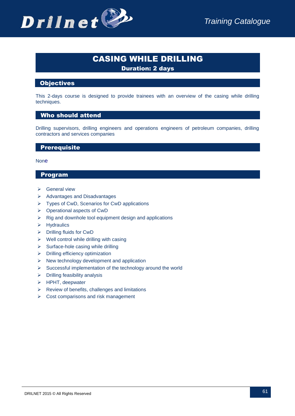

# CASING WHILE DRILLING

Duration: 2 days

# **Objectives**

This 2-days course is designed to provide trainees with an overview of the casing while drilling techniques.

#### Who should attend

Drilling supervisors, drilling engineers and operations engineers of petroleum companies, drilling contractors and services companies

# **Prerequisite**

#### **None**

- General view
- $\triangleright$  Advantages and Disadvantages
- $\triangleright$  Types of CwD, Scenarios for CwD applications
- Operational aspects of CwD
- $\triangleright$  Rig and downhole tool equipment design and applications
- $\triangleright$  Hydraulics
- $\triangleright$  Drilling fluids for CwD
- $\triangleright$  Well control while drilling with casing
- $\triangleright$  Surface-hole casing while drilling
- $\triangleright$  Drilling efficiency optimization
- $\triangleright$  New technology development and application
- $\triangleright$  Successful implementation of the technology around the world
- $\triangleright$  Drilling feasibility analysis
- $\triangleright$  HPHT, deepwater
- $\triangleright$  Review of benefits, challenges and limitations
- $\triangleright$  Cost comparisons and risk management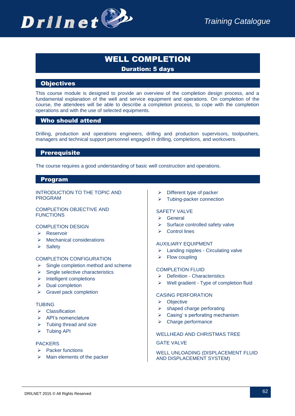

# WELL COMPLETION Duration: 5 days

# **Objectives**

This course module is designed to provide an overview of the completion design process, and a fundamental explanation of the well and service equipment and operations. On completion of the course, the attendees will be able to describe a completion process, to cope with the completion operations and with the use of selected equipments.

#### Who should attend

Drilling, production and operations engineers, drilling and production supervisors, toolpushers, managers and technical support personnel engaged in drilling, completions, and workovers.

# **Prerequisite**

The course requires a good understanding of basic well construction and operations.

#### Program

INTRODUCTION TO THE TOPIC AND PROGRAM

#### COMPLETION OBJECTIVE AND **FUNCTIONS**

#### COMPLETION DESIGN

- > Reservoir
- $\triangleright$  Mechanical considerations
- $\triangleright$  Safety

#### COMPLETION CONFIGURATION

- $\triangleright$  Single completion method and scheme
- $\triangleright$  Single selective characteristics
- $\triangleright$  Intelligent completions
- $\triangleright$  Dual completion
- $\triangleright$  Gravel pack completion

#### TUBING

- $\triangleright$  Classification
- $\triangleright$  API's nomenclature
- $\triangleright$  Tubing thread and size
- $\triangleright$  Tubing API

#### PACKERS

- $\triangleright$  Packer functions
- $\triangleright$  Main elements of the packer
- $\triangleright$  Different type of packer
- Tubing-packer connection

#### SAFFTY VALVE

- $\triangleright$  General
- $\triangleright$  Surface controlled safety valve
- $\triangleright$  Control lines

#### AUXILIARY EQUIPMENT

- $\triangleright$  Landing nipples Circulating valve
- $\triangleright$  Flow coupling

#### COMPLETION FLUID

- Definition Characteristics
- $\triangleright$  Well gradient Type of completion fluid

#### CASING PERFORATION

- $\triangleright$  Objective
- $\triangleright$  shaped charge perforating
- $\triangleright$  Casing's perforating mechanism
- $\triangleright$  Charge performance

#### WELLHEAD AND CHRISTMAS TREE

#### GATE VALVE

#### WELL UNLOADING (DISPLACEMENT FLUID AND DISPLACEMENT SYSTEM)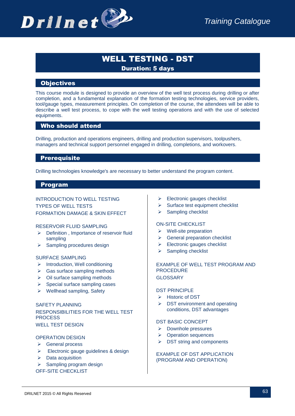# WELL TESTING - DST Duration: 5 days

# **Objectives**

This course module is designed to provide an overview of the well test process during drilling or after completion, and a fundamental explanation of the formation testing technologies, service providers, tool/gauge types, measurement principles. On completion of the course, the attendees will be able to describe a well test process, to cope with the well testing operations and with the use of selected equipments.

# Who should attend

Drilling, production and operations engineers, drilling and production supervisors, toolpushers, managers and technical support personnel engaged in drilling, completions, and workovers.

#### **Prerequisite**

Drilling technologies knowledge's are necessary to better understand the program content.

#### Program

#### INTRODUCTION TO WELL TESTING TYPES OF WELL TESTS FORMATION DAMAGE & SKIN EFFECT

#### RESERVOIR FLUID SAMPLING

- $\triangleright$  Definition , Importance of reservoir fluid sampling
- $\triangleright$  Sampling procedures design

#### SURFACE SAMPLING

- $\triangleright$  Introduction, Well conditioning
- $\triangleright$  Gas surface sampling methods
- $\triangleright$  Oil surface sampling methods
- $\triangleright$  Special surface sampling cases
- $\triangleright$  Wellhead sampling, Safety

#### SAFETY PLANNING RESPONSIBILITIES FOR THE WELL TEST **PROCESS** WELL TEST DESIGN

#### OPERATION DESIGN

- **►** General process
- Electronic gauge guidelines & design
- $\triangleright$  Data acquisition

 $\triangleright$  Sampling program design

OFF-SITE CHECKLIST

- $\triangleright$  Electronic gauges checklist
- $\triangleright$  Surface test equipment checklist
- $\triangleright$  Sampling checklist

#### ON-SITE CHECKLIST

- $\triangleright$  Well-site preparation
- $\triangleright$  General preparation checklist
- $\triangleright$  Electronic gauges checklist
- $\triangleright$  Sampling checklist

#### EXAMPLE OF WELL TEST PROGRAM AND PROCEDURE GLOSSARY

#### DST PRINCIPLE

- $\triangleright$  Historic of DST
- $\triangleright$  DST environment and operating conditions, DST advantages

#### DST BASIC CONCEPT

- $\triangleright$  Downhole pressures
- ▶ Operation sequences
- $\triangleright$  DST string and components

#### EXAMPLE OF DST APPLICATION (PROGRAM AND OPERATION)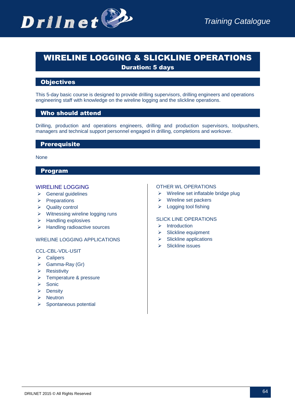

# WIRELINE LOGGING & SLICKLINE OPERATIONS Duration: 5 days

# **Objectives**

This 5-day basic course is designed to provide drilling supervisors, drilling engineers and operations engineering staff with knowledge on the wireline logging and the slickline operations.

#### Who should attend

Drilling, production and operations engineers, drilling and production supervisors, toolpushers, managers and technical support personnel engaged in drilling, completions and workover.

#### **Prerequisite**

None

# Program

#### WIRELINE LOGGING

- $\triangleright$  General quidelines
- $\triangleright$  Preparations
- **▶** Quality control
- $\triangleright$  Witnessing wireline logging runs
- $\triangleright$  Handling explosives
- $\triangleright$  Handling radioactive sources

#### WRELINE LOGGING APPLICATIONS

#### CCL-CBL-VDL-USIT

- $\triangleright$  Calipers
- $\triangleright$  Gamma-Ray (Gr)
- $\triangleright$  Resistivity
- **►** Temperature & pressure
- $\triangleright$  Sonic
- $\triangleright$  Density
- $\triangleright$  Neutron
- $\triangleright$  Spontaneous potential

#### OTHER WL OPERATIONS

- $\triangleright$  Wireline set inflatable bridge plug
- $\triangleright$  Wireline set packers
- $\triangleright$  Logging tool fishing

#### SLICK LINE OPERATIONS

- $\triangleright$  Introduction
- $\triangleright$  Slickline equipment
- $\triangleright$  Slickline applications
- $\triangleright$  Slickline issues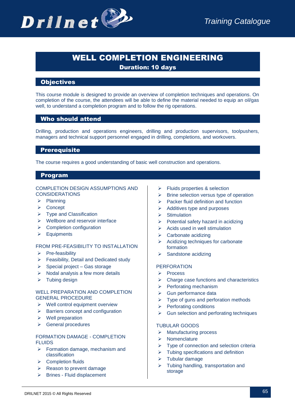

# WELL COMPLETION ENGINEERING

Duration: 10 days

# **Objectives**

This course module is designed to provide an overview of completion techniques and operations. On completion of the course, the attendees will be able to define the material needed to equip an oil/gas well, to understand a completion program and to follow the rig operations.

# Who should attend

Drilling, production and operations engineers, drilling and production supervisors, toolpushers, managers and technical support personnel engaged in drilling, completions, and workovers.

#### **Prerequisite**

The course requires a good understanding of basic well construction and operations.

#### Program

#### COMPLETION DESIGN ASSUMPTIONS AND **CONSIDERATIONS**

- $\triangleright$  Planning
- **≻** Concept
- $\triangleright$  Type and Classification
- $\triangleright$  Wellbore and reservoir interface
- $\triangleright$  Completion configuration
- $\triangleright$  Equipments

#### FROM PRE-FEASIBILITY TO INSTALLATION

- $\triangleright$  Pre-feasibility
- $\triangleright$  Feasibility, Detail and Dedicated study
- $\triangleright$  Special project Gas storage
- $\triangleright$  Nodal analysis a few more details
- $\triangleright$  Tubing design

#### WELL PREPARATION AND COMPLETION GENERAL PROCEDURE

- $\triangleright$  Well control equipment overview
- $\triangleright$  Barriers concept and configuration
- $\triangleright$  Well preparation
- **►** General procedures

#### FORMATION DAMAGE - COMPLETION FLUIDS

- $\triangleright$  Formation damage, mechanism and classification
- ▶ Completion fluids
- $\triangleright$  Reason to prevent damage
- > Brines Fluid displacement
- Fluids properties & selection
- $\triangleright$  Brine selection versus type of operation
- $\triangleright$  Packer fluid definition and function
- $\triangleright$  Additives type and purposes
- $\triangleright$  Stimulation
- $\triangleright$  Potential safety hazard in acidizing
- $\triangleright$  Acids used in well stimulation
- $\triangleright$  Carbonate acidizing
- $\triangleright$  Acidizing techniques for carbonate formation
- $\triangleright$  Sandstone acidizing

#### PERFORATION

- $\triangleright$  Process
- $\triangleright$  Charge case functions and characteristics
- $\triangleright$  Perforating mechanism
- $\triangleright$  Gun performance data
- $\triangleright$  Type of guns and perforation methods
- $\triangleright$  Perforating conditions
- $\triangleright$  Gun selection and perforating techniques

#### TUBULAR GOODS

- $\triangleright$  Manufacturing process
- $\triangleright$  Nomenclature
- $\triangleright$  Type of connection and selection criteria
- $\triangleright$  Tubing specifications and definition
- $\triangleright$  Tubular damage
- $\triangleright$  Tubing handling, transportation and storage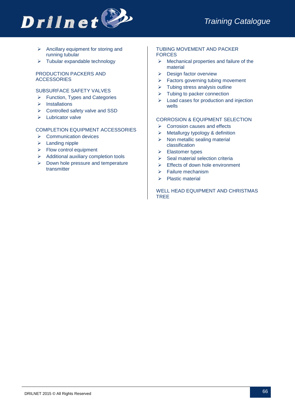

- $\triangleright$  Ancillary equipment for storing and running tubular
- $\triangleright$  Tubular expandable technology

#### PRODUCTION PACKERS AND **ACCESSORIES**

#### SUBSURFACE SAFETY VALVES

- $\triangleright$  Function, Types and Categories
- $\triangleright$  Installations
- Controlled safety valve and SSD
- $\triangleright$  Lubricator valve

#### COMPLETION EQUIPMENT ACCESSORIES

- $\triangleright$  Communication devices
- $\triangleright$  Landing nipple
- $\triangleright$  Flow control equipment
- $\triangleright$  Additional auxiliary completion tools
- $\triangleright$  Down hole pressure and temperature transmitter

#### TUBING MOVEMENT AND PACKER FORCES

- $\triangleright$  Mechanical properties and failure of the material
- $\triangleright$  Design factor overview
- $\triangleright$  Factors governing tubing movement
- $\triangleright$  Tubing stress analysis outline
- $\triangleright$  Tubing to packer connection
- $\triangleright$  Load cases for production and injection wells

#### CORROSION & EQUIPMENT SELECTION

- $\triangleright$  Corrosion causes and effects
- $\triangleright$  Metallurgy typology & definition
- $\triangleright$  Non metallic sealing material classification
- **►** Elastomer types
- $\triangleright$  Seal material selection criteria
- $\triangleright$  Effects of down hole environment
- $\triangleright$  Failure mechanism
- $\triangleright$  Plastic material

WELL HEAD EQUIPMENT AND CHRISTMAS TREE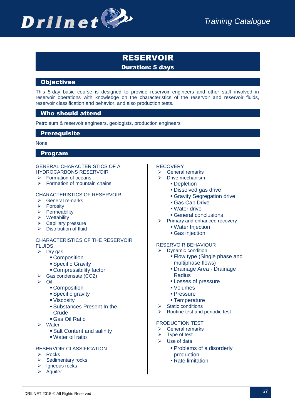

# RESERVOIR Duration: 5 days

# **Objectives**

This 5-day basic course is designed to provide reservoir engineers and other staff involved in reservoir operations with knowledge on the characteristics of the reservoir and reservoir fluids, reservoir classification and behavior, and also production tests.

# Who should attend

Petroleum & reservoir engineers, geologists, production engineers

#### **Prerequisite**

#### None

#### Program

#### GENERAL CHARACTERISTICS OF A HYDROCARBONS RESERVOIR

- $\triangleright$  Formation of oceans
- $\triangleright$  Formation of mountain chains

#### CHARACTERISTICS OF RESERVOIR

- **▶** General remarks
- $\triangleright$  Porosity
- $\triangleright$  Permeability
- $\triangleright$  Wettability
- $\triangleright$  Capillary pressure
- $\triangleright$  Distribution of fluid

#### CHARACTERISTICS OF THE RESERVOIR FLUIDS

- $\triangleright$  Dry gas
	- **Composition**
	- **Specific Gravity**
	- Compressibility factor
- Gas condensate (CO2)
- $\triangleright$  Oil
	- **Composition**
	- **Specific gravity**
	- Viscosity
	- Substances Present In the Crude
	- Gas Oil Ratio
- Water
	- Salt Content and salinity
	- Water oil ratio

#### RESERVOIR CLASSIFICATION

- $\triangleright$  Rocks
- $\triangleright$  Sedimentary rocks
- $\triangleright$  Igneous rocks
- $\triangleright$  Aquifer

#### **RECOVERY**

- $\triangleright$  General remarks
- $\triangleright$  Drive mechanism
	- **-** Depletion
	- Dissolved gas drive
	- Gravity Segregation drive
	- Gas Cap Drive
	- Water drive
	- General conclusions
- $\triangleright$  Primary and enhanced recovery
	- Water Injection
	- Gas injection

#### RESERVOIR BEHAVIOUR

- $\triangleright$  Dynamic condition
	- Flow type (Single phase and multiphase flows)
	- Drainage Area Drainage **Radius**
	- **Losses of pressure**
	- Volumes
	- Pressure
	- **Temperature**
- Static conditions
- $\triangleright$  Routine test and periodic test

#### PRODUCTION TEST

- $\triangleright$  General remarks
- $\triangleright$  Type of test
- $\triangleright$  Use of data
	- Problems of a disorderly production
	- Rate limitation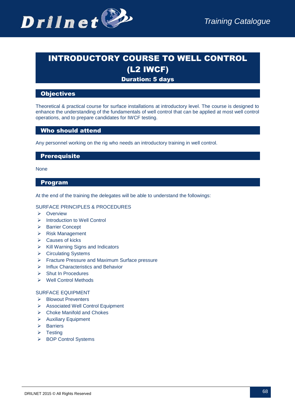

# INTRODUCTORY COURSE TO WELL CONTROL (L2 IWCF)

# Duration: 5 days

#### **Objectives**

Theoretical & practical course for surface installations at introductory level. The course is designed to enhance the understanding of the fundamentals of well control that can be applied at most well control operations, and to prepare candidates for IWCF testing.

#### Who should attend

Any personnel working on the rig who needs an introductory training in well control.

#### **Prerequisite**

None

#### Program

At the end of the training the delegates will be able to understand the followings:

#### SURFACE PRINCIPLES & PROCEDURES

- $\triangleright$  Overview
- > Introduction to Well Control
- ▶ Barrier Concept
- Risk Management
- $\triangleright$  Causes of kicks
- $\triangleright$  Kill Warning Signs and Indicators
- **▶ Circulating Systems**
- Fracture Pressure and Maximum Surface pressure
- $\triangleright$  Influx Characteristics and Behavior
- $\triangleright$  Shut In Procedures
- Well Control Methods

#### SURFACE EQUIPMENT

- ▶ Blowout Preventers
- Associated Well Control Equipment
- ▶ Choke Manifold and Chokes
- Auxiliary Equipment
- $\triangleright$  Barriers
- $\triangleright$  Testing
- ▶ BOP Control Systems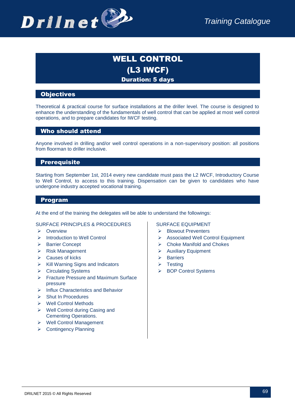

# WELL CONTROL (L3 IWCF) Duration: 5 days

# **Objectives**

Theoretical & practical course for surface installations at the driller level. The course is designed to enhance the understanding of the fundamentals of well control that can be applied at most well control operations, and to prepare candidates for IWCF testing.

# Who should attend

Anyone involved in drilling and/or well control operations in a non-supervisory position: all positions from floorman to driller inclusive.

# **Prerequisite**

Starting from September 1st, 2014 every new candidate must pass the L2 IWCF, Introductory Course to Well Control, to access to this training. Dispensation can be given to candidates who have undergone industry accepted vocational training.

#### Program

At the end of the training the delegates will be able to understand the followings:

#### SURFACE PRINCIPLES & PROCEDURES

- **E** Overview
- > Introduction to Well Control
- ▶ Barrier Concept
- $\triangleright$  Risk Management
- $\triangleright$  Causes of kicks
- $\triangleright$  Kill Warning Signs and Indicators
- **▶ Circulating Systems**
- **Fracture Pressure and Maximum Surface** pressure
- $\triangleright$  Influx Characteristics and Behavior
- $\triangleright$  Shut In Procedures
- ▶ Well Control Methods
- $\triangleright$  Well Control during Casing and Cementing Operations.
- ▶ Well Control Management
- ▶ Contingency Planning

#### SURFACE EQUIPMENT

- > Blowout Preventers
- Associated Well Control Equipment
- Choke Manifold and Chokes
- $\triangleright$  Auxiliary Equipment
- $\triangleright$  Barriers
- $\triangleright$  Testing
- ▶ BOP Control Systems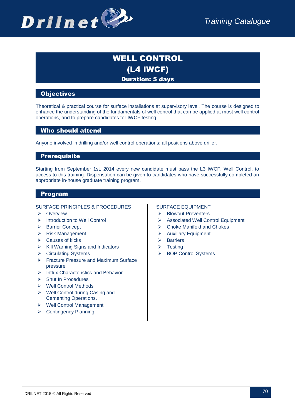

# WELL CONTROL (L4 IWCF) Duration: 5 days

### **Objectives**

Theoretical & practical course for surface installations at supervisory level. The course is designed to enhance the understanding of the fundamentals of well control that can be applied at most well control operations, and to prepare candidates for IWCF testing.

# Who should attend

Anyone involved in drilling and/or well control operations: all positions above driller.

#### **Prerequisite**

Starting from September 1st, 2014 every new candidate must pass the L3 IWCF, Well Control, to access to this training. Dispensation can be given to candidates who have successfully completed an appropriate in-house graduate training program.

#### Program

#### SURFACE PRINCIPLES & PROCEDURES

- > Overview
- > Introduction to Well Control
- ▶ Barrier Concept
- $\triangleright$  Risk Management
- $\triangleright$  Causes of kicks
- $\triangleright$  Kill Warning Signs and Indicators
- **▶ Circulating Systems**
- Fracture Pressure and Maximum Surface pressure
- $\triangleright$  Influx Characteristics and Behavior
- Shut In Procedures
- ▶ Well Control Methods
- ▶ Well Control during Casing and Cementing Operations.
- Well Control Management
- ▶ Contingency Planning

#### SURFACE EQUIPMENT

- > Blowout Preventers
- Associated Well Control Equipment
- Choke Manifold and Chokes
- Auxiliary Equipment
- $\triangleright$  Barriers
- $\triangleright$  Testing
- > BOP Control Systems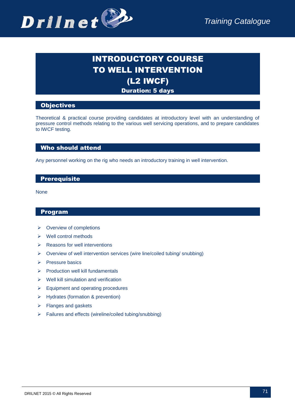

# INTRODUCTORY COURSE TO WELL INTERVENTION (L2 IWCF) Duration: 5 days

# **Objectives**

Theoretical & practical course providing candidates at introductory level with an understanding of pressure control methods relating to the various well servicing operations, and to prepare candidates to IWCF testing.

# Who should attend

Any personnel working on the rig who needs an introductory training in well intervention.

# **Prerequisite**

None

- $\triangleright$  Overview of completions
- $\triangleright$  Well control methods
- $\triangleright$  Reasons for well interventions
- $\triangleright$  Overview of well intervention services (wire line/coiled tubing/ snubbing)
- $\triangleright$  Pressure basics
- $\triangleright$  Production well kill fundamentals
- $\triangleright$  Well kill simulation and verification
- $\triangleright$  Equipment and operating procedures
- > Hydrates (formation & prevention)
- $\triangleright$  Flanges and gaskets
- $\triangleright$  Failures and effects (wireline/coiled tubing/snubbing)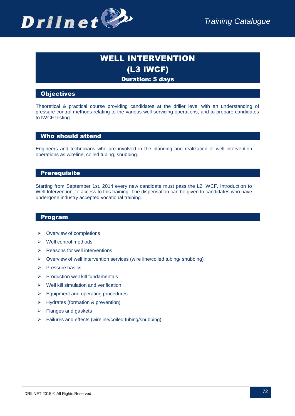

# WELL INTERVENTION (L3 IWCF) Duration: 5 days

# **Objectives**

Theoretical & practical course providing candidates at the driller level with an understanding of pressure control methods relating to the various well servicing operations, and to prepare candidates to IWCF testing.

#### Who should attend

Engineers and technicians who are involved in the planning and realization of well intervention operations as wireline, coiled tubing, snubbing.

# **Prerequisite**

Starting from September 1st, 2014 every new candidate must pass the L2 IWCF, Introduction to Well Intervention, to access to this training. The dispensation can be given to candidates who have undergone industry accepted vocational training.

- $\triangleright$  Overview of completions
- $\triangleright$  Well control methods
- $\triangleright$  Reasons for well interventions
- $\triangleright$  Overview of well intervention services (wire line/coiled tubing/ snubbing)
- $\triangleright$  Pressure basics
- $\triangleright$  Production well kill fundamentals
- $\triangleright$  Well kill simulation and verification
- $\triangleright$  Equipment and operating procedures
- $\triangleright$  Hydrates (formation & prevention)
- $\triangleright$  Flanges and gaskets
- $\triangleright$  Failures and effects (wireline/coiled tubing/snubbing)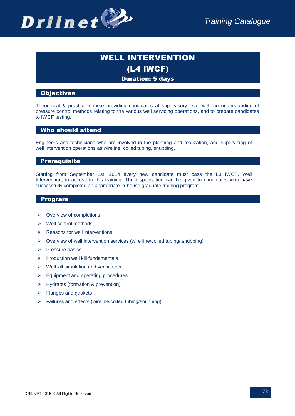

### WELL INTERVENTION (L4 IWCF) Duration: 5 days

#### **Objectives**

Theoretical & practical course providing candidates at supervisory level with an understanding of pressure control methods relating to the various well servicing operations, and to prepare candidates to IWCF testing.

#### Who should attend

Engineers and technicians who are involved in the planning and realization, and supervising of well intervention operations as wireline, coiled tubing, snubbing.

#### **Prerequisite**

Starting from September 1st, 2014 every new candidate must pass the L3 IWCF, Well Intervention, to access to this training. The dispensation can be given to candidates who have successfully completed an appropriate in-house graduate training program.

- $\triangleright$  Overview of completions
- $\triangleright$  Well control methods
- $\triangleright$  Reasons for well interventions
- $\triangleright$  Overview of well intervention services (wire line/coiled tubing/ snubbing)
- $\triangleright$  Pressure basics
- $\triangleright$  Production well kill fundamentals
- $\triangleright$  Well kill simulation and verification
- $\triangleright$  Equipment and operating procedures
- Hydrates (formation & prevention)
- $\triangleright$  Flanges and gaskets
- $\triangleright$  Failures and effects (wireline/coiled tubing/snubbing)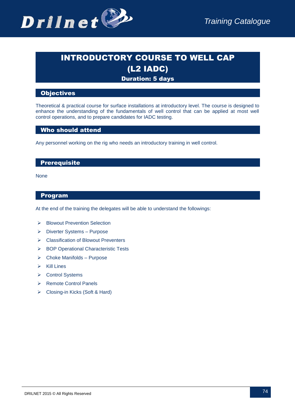

# INTRODUCTORY COURSE TO WELL CAP (L2 IADC)

### Duration: 5 days

#### **Objectives**

Theoretical & practical course for surface installations at introductory level. The course is designed to enhance the understanding of the fundamentals of well control that can be applied at most well control operations, and to prepare candidates for IADC testing.

#### Who should attend

Any personnel working on the rig who needs an introductory training in well control.

#### **Prerequisite**

None

#### Program

At the end of the training the delegates will be able to understand the followings:

- ▶ Blowout Prevention Selection
- Diverter Systems Purpose
- **EX Classification of Blowout Preventers**
- > BOP Operational Characteristic Tests
- $\triangleright$  Choke Manifolds Purpose
- $\triangleright$  Kill Lines
- **▶ Control Systems**
- ▶ Remote Control Panels
- Closing-in Kicks (Soft & Hard)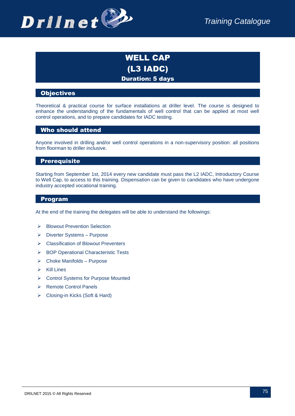

### WELL CAP (L3 IADC) Duration: 5 days

#### **Objectives**

Theoretical & practical course for surface installations at driller level. The course is designed to enhance the understanding of the fundamentals of well control that can be applied at most well control operations, and to prepare candidates for IADC testing.

#### Who should attend

Anyone involved in drilling and/or well control operations in a non-supervisory position: all positions from floorman to driller inclusive.

#### **Prerequisite**

Starting from September 1st, 2014 every new candidate must pass the L2 IADC, Introductory Course to Well Cap, to access to this training. Dispensation can be given to candidates who have undergone industry accepted vocational training.

#### Program

At the end of the training the delegates will be able to understand the followings:

- > Blowout Prevention Selection
- Diverter Systems Purpose
- Classification of Blowout Preventers
- ▶ BOP Operational Characteristic Tests
- $\triangleright$  Choke Manifolds Purpose
- $\triangleright$  Kill Lines
- ▶ Control Systems for Purpose Mounted
- ▶ Remote Control Panels
- Closing-in Kicks (Soft & Hard)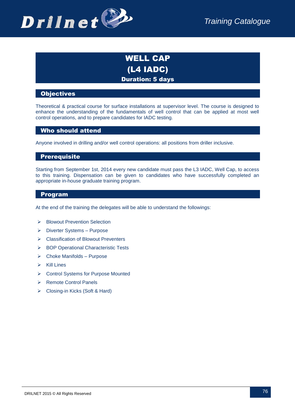

### WELL CAP (L4 IADC) Duration: 5 days

#### **Objectives**

Theoretical & practical course for surface installations at supervisor level. The course is designed to enhance the understanding of the fundamentals of well control that can be applied at most well control operations, and to prepare candidates for IADC testing.

#### Who should attend

Anyone involved in drilling and/or well control operations: all positions from driller inclusive.

#### **Prerequisite**

Starting from September 1st, 2014 every new candidate must pass the L3 IADC, Well Cap, to access to this training. Dispensation can be given to candidates who have successfully completed an appropriate in-house graduate training program.

#### Program

At the end of the training the delegates will be able to understand the followings:

- ▶ Blowout Prevention Selection
- Diverter Systems Purpose
- **EX Classification of Blowout Preventers**
- ▶ BOP Operational Characteristic Tests
- $\triangleright$  Choke Manifolds Purpose
- $\triangleright$  Kill Lines
- ▶ Control Systems for Purpose Mounted
- ▶ Remote Control Panels
- Closing-in Kicks (Soft & Hard)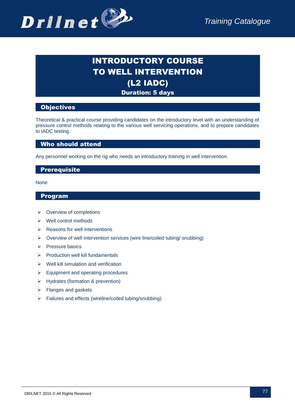

## INTRODUCTORY COURSE TO WELL INTERVENTION (L2 IADC) Duration: 5 days

#### **Objectives**

Theoretical & practical course providing candidates on the introductory level with an understanding of pressure control methods relating to the various well servicing operations, and to prepare candidates to IADC testing.

#### Who should attend

Any personnel working on the rig who needs an introductory training in well intervention.

#### **Prerequisite**

None

- $\triangleright$  Overview of completions
- $\triangleright$  Well control methods
- $\triangleright$  Reasons for well interventions
- $\triangleright$  Overview of well intervention services (wire line/coiled tubing/ snubbing)
- $\triangleright$  Pressure basics
- $\triangleright$  Production well kill fundamentals
- $\triangleright$  Well kill simulation and verification
- $\triangleright$  Equipment and operating procedures
- Hydrates (formation & prevention)
- $\triangleright$  Flanges and gaskets
- Failures and effects (wireline/coiled tubing/snubbing)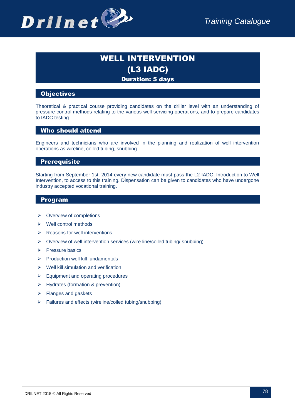

### WELL INTERVENTION (L3 IADC) Duration: 5 days

#### **Objectives**

Theoretical & practical course providing candidates on the driller level with an understanding of pressure control methods relating to the various well servicing operations, and to prepare candidates to IADC testing.

#### Who should attend

Engineers and technicians who are involved in the planning and realization of well intervention operations as wireline, coiled tubing, snubbing.

#### **Prerequisite**

Starting from September 1st, 2014 every new candidate must pass the L2 IADC, Introduction to Well Intervention, to access to this training. Dispensation can be given to candidates who have undergone industry accepted vocational training.

- $\triangleright$  Overview of completions
- $\triangleright$  Well control methods
- $\triangleright$  Reasons for well interventions
- $\triangleright$  Overview of well intervention services (wire line/coiled tubing/ snubbing)
- $\triangleright$  Pressure basics
- $\triangleright$  Production well kill fundamentals
- $\triangleright$  Well kill simulation and verification
- $\triangleright$  Equipment and operating procedures
- Hydrates (formation & prevention)
- $\triangleright$  Flanges and gaskets
- $\triangleright$  Failures and effects (wireline/coiled tubing/snubbing)